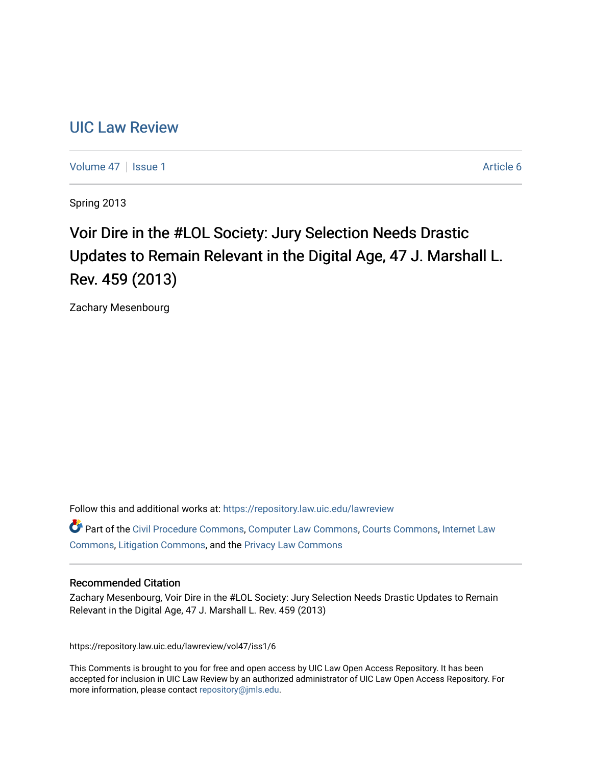# [UIC Law Review](https://repository.law.uic.edu/lawreview)

[Volume 47](https://repository.law.uic.edu/lawreview/vol47) | [Issue 1](https://repository.law.uic.edu/lawreview/vol47/iss1) Article 6

Spring 2013

# Voir Dire in the #LOL Society: Jury Selection Needs Drastic Updates to Remain Relevant in the Digital Age, 47 J. Marshall L. Rev. 459 (2013)

Zachary Mesenbourg

Follow this and additional works at: [https://repository.law.uic.edu/lawreview](https://repository.law.uic.edu/lawreview?utm_source=repository.law.uic.edu%2Flawreview%2Fvol47%2Fiss1%2F6&utm_medium=PDF&utm_campaign=PDFCoverPages) 

Part of the [Civil Procedure Commons,](http://network.bepress.com/hgg/discipline/584?utm_source=repository.law.uic.edu%2Flawreview%2Fvol47%2Fiss1%2F6&utm_medium=PDF&utm_campaign=PDFCoverPages) [Computer Law Commons](http://network.bepress.com/hgg/discipline/837?utm_source=repository.law.uic.edu%2Flawreview%2Fvol47%2Fiss1%2F6&utm_medium=PDF&utm_campaign=PDFCoverPages), [Courts Commons](http://network.bepress.com/hgg/discipline/839?utm_source=repository.law.uic.edu%2Flawreview%2Fvol47%2Fiss1%2F6&utm_medium=PDF&utm_campaign=PDFCoverPages), [Internet Law](http://network.bepress.com/hgg/discipline/892?utm_source=repository.law.uic.edu%2Flawreview%2Fvol47%2Fiss1%2F6&utm_medium=PDF&utm_campaign=PDFCoverPages)  [Commons](http://network.bepress.com/hgg/discipline/892?utm_source=repository.law.uic.edu%2Flawreview%2Fvol47%2Fiss1%2F6&utm_medium=PDF&utm_campaign=PDFCoverPages), [Litigation Commons,](http://network.bepress.com/hgg/discipline/910?utm_source=repository.law.uic.edu%2Flawreview%2Fvol47%2Fiss1%2F6&utm_medium=PDF&utm_campaign=PDFCoverPages) and the [Privacy Law Commons](http://network.bepress.com/hgg/discipline/1234?utm_source=repository.law.uic.edu%2Flawreview%2Fvol47%2Fiss1%2F6&utm_medium=PDF&utm_campaign=PDFCoverPages)

# Recommended Citation

Zachary Mesenbourg, Voir Dire in the #LOL Society: Jury Selection Needs Drastic Updates to Remain Relevant in the Digital Age, 47 J. Marshall L. Rev. 459 (2013)

https://repository.law.uic.edu/lawreview/vol47/iss1/6

This Comments is brought to you for free and open access by UIC Law Open Access Repository. It has been accepted for inclusion in UIC Law Review by an authorized administrator of UIC Law Open Access Repository. For more information, please contact [repository@jmls.edu.](mailto:repository@jmls.edu)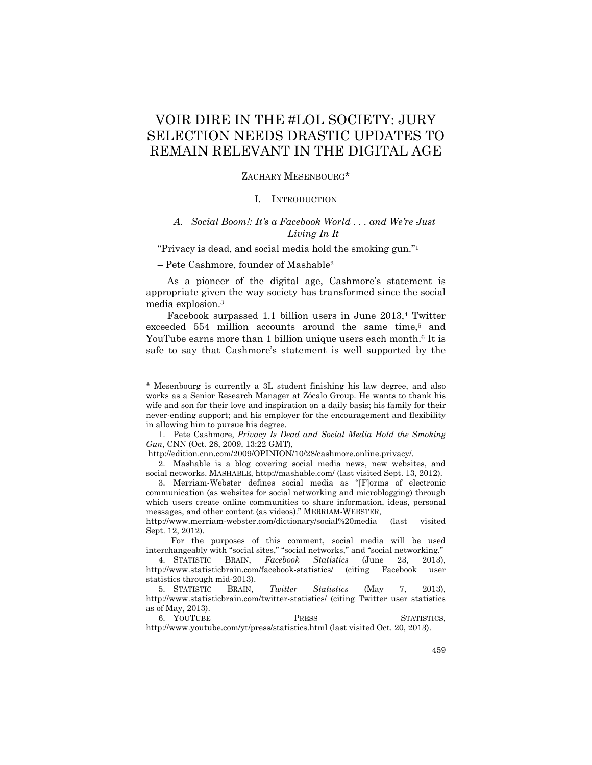# VOIR DIRE IN THE #LOL SOCIETY: JURY SELECTION NEEDS DRASTIC UPDATES TO REMAIN RELEVANT IN THE DIGITAL AGE

#### ZACHARY MESENBOURG\*

# I. INTRODUCTION

# *A. Social Boom!: It's a Facebook World . . . and We're Just Living In It*

"Privacy is dead, and social media hold the smoking gun."1

– Pete Cashmore, founder of Mashable2

As a pioneer of the digital age, Cashmore's statement is appropriate given the way society has transformed since the social media explosion.3

Facebook surpassed 1.1 billion users in June 2013,4 Twitter exceeded 554 million accounts around the same time,<sup>5</sup> and YouTube earns more than 1 billion unique users each month.<sup>6</sup> It is safe to say that Cashmore's statement is well supported by the

 1. Pete Cashmore, *Privacy Is Dead and Social Media Hold the Smoking Gun*, CNN (Oct. 28, 2009, 13:22 GMT),

http://www.merriam-webster.com/dictionary/social%20media (last visited Sept. 12, 2012).

 For the purposes of this comment, social media will be used interchangeably with "social sites," "social networks," and "social networking."

 4. STATISTIC BRAIN, *Facebook Statistics* (June 23, 2013), http://www.statisticbrain.com/facebook-statistics/ (citing Facebook user statistics through mid-2013).

<sup>\*</sup> Mesenbourg is currently a 3L student finishing his law degree, and also works as a Senior Research Manager at Zócalo Group. He wants to thank his wife and son for their love and inspiration on a daily basis; his family for their never-ending support; and his employer for the encouragement and flexibility in allowing him to pursue his degree.

http://edition.cnn.com/2009/OPINION/10/28/cashmore.online.privacy/.

 <sup>2.</sup> Mashable is a blog covering social media news, new websites, and social networks. MASHABLE, http://mashable.com/ (last visited Sept. 13, 2012).

 <sup>3.</sup> Merriam-Webster defines social media as "[F]orms of electronic communication (as websites for social networking and microblogging) through which users create online communities to share information, ideas, personal messages, and other content (as videos)." MERRIAM-WEBSTER,

 <sup>5.</sup> STATISTIC BRAIN, *Twitter Statistics* (May 7, 2013), http://www.statisticbrain.com/twitter-statistics/ (citing Twitter user statistics as of May, 2013).

<sup>6.</sup> YOUTUBE PRESS STATISTICS, http://www.youtube.com/yt/press/statistics.html (last visited Oct. 20, 2013).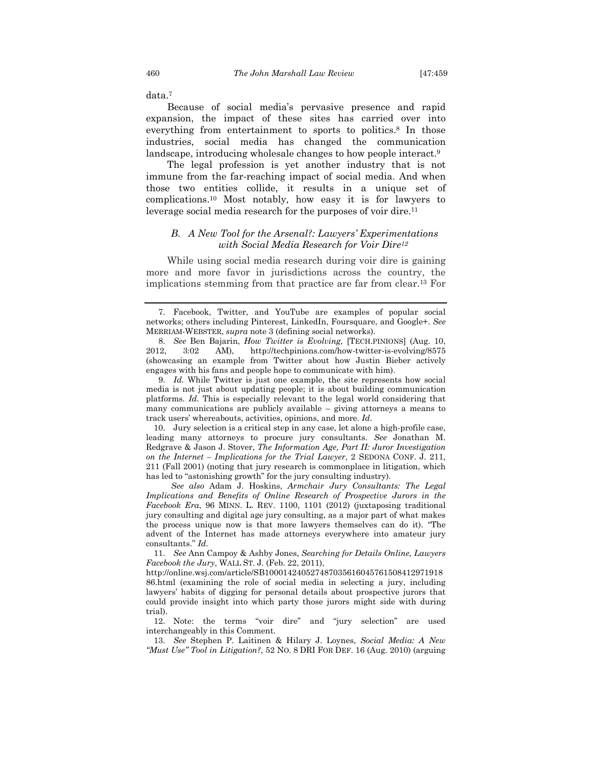data.7

Because of social media's pervasive presence and rapid expansion, the impact of these sites has carried over into everything from entertainment to sports to politics.8 In those industries, social media has changed the communication landscape, introducing wholesale changes to how people interact.9

The legal profession is yet another industry that is not immune from the far-reaching impact of social media. And when those two entities collide, it results in a unique set of complications.10 Most notably, how easy it is for lawyers to leverage social media research for the purposes of voir dire.11

# *B. A New Tool for the Arsenal?: Lawyers' Experimentations with Social Media Research for Voir Dire12*

While using social media research during voir dire is gaining more and more favor in jurisdictions across the country, the implications stemming from that practice are far from clear.13 For

 9. *Id.* While Twitter is just one example, the site represents how social media is not just about updating people; it is about building communication platforms. *Id.* This is especially relevant to the legal world considering that many communications are publicly available – giving attorneys a means to track users' whereabouts, activities, opinions, and more. *Id.* 

 10. Jury selection is a critical step in any case, let alone a high-profile case, leading many attorneys to procure jury consultants. *See* Jonathan M. Redgrave & Jason J. Stover, *The Information Age, Part II: Juror Investigation on the Internet – Implications for the Trial Lawyer*, 2 SEDONA CONF. J. 211, 211 (Fall 2001) (noting that jury research is commonplace in litigation, which has led to "astonishing growth" for the jury consulting industry).

 *See also* Adam J. Hoskins, *Armchair Jury Consultants: The Legal Implications and Benefits of Online Research of Prospective Jurors in the Facebook Era*, 96 MINN. L. REV. 1100, 1101 (2012) (juxtaposing traditional jury consulting and digital age jury consulting, as a major part of what makes the process unique now is that more lawyers themselves can do it). "The advent of the Internet has made attorneys everywhere into amateur jury consultants." *Id.*

 11. *See* Ann Campoy & Ashby Jones, *Searching for Details Online, Lawyers Facebook the Jury*, WALL ST. J. (Feb. 22, 2011),

http://online.wsj.com/article/SB100014240527487035616045761508412971918 86.html (examining the role of social media in selecting a jury, including lawyers' habits of digging for personal details about prospective jurors that could provide insight into which party those jurors might side with during trial).

 12. Note: the terms "voir dire" and "jury selection" are used interchangeably in this Comment.

 13. *See* Stephen P. Laitinen & Hilary J. Loynes, *Social Media: A New "Must Use" Tool in Litigation?*, 52 NO. 8 DRI FOR DEF. 16 (Aug. 2010) (arguing

 <sup>7.</sup> Facebook, Twitter, and YouTube are examples of popular social networks; others including Pinterest, LinkedIn, Foursquare, and Google+. *See* MERRIAM-WEBSTER, *supra* note 3 (defining social networks).

 <sup>8.</sup> *See* Ben Bajarin, *How Twitter is Evolving*, [TECH.PINIONS] (Aug. 10, 2012, 3:02 AM), http://techpinions.com/how-twitter-is-evolving/8575 (showcasing an example from Twitter about how Justin Bieber actively engages with his fans and people hope to communicate with him).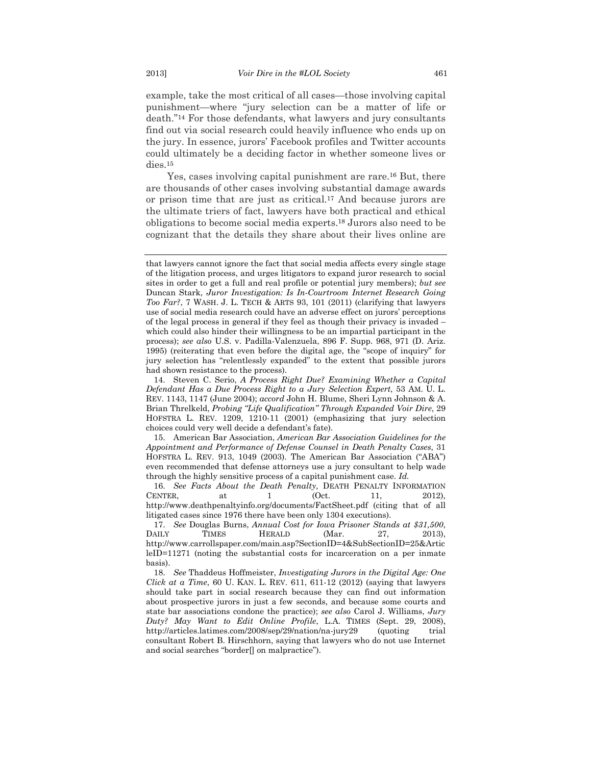example, take the most critical of all cases—those involving capital punishment—where "jury selection can be a matter of life or death."14 For those defendants, what lawyers and jury consultants find out via social research could heavily influence who ends up on the jury. In essence, jurors' Facebook profiles and Twitter accounts could ultimately be a deciding factor in whether someone lives or dies.15

Yes, cases involving capital punishment are rare.16 But, there are thousands of other cases involving substantial damage awards or prison time that are just as critical.17 And because jurors are the ultimate triers of fact, lawyers have both practical and ethical obligations to become social media experts.18 Jurors also need to be cognizant that the details they share about their lives online are

 15. American Bar Association, *American Bar Association Guidelines for the Appointment and Performance of Defense Counsel in Death Penalty Cases*, 31 HOFSTRA L. REV. 913, 1049 (2003). The American Bar Association ("ABA") even recommended that defense attorneys use a jury consultant to help wade through the highly sensitive process of a capital punishment case. *Id.*

that lawyers cannot ignore the fact that social media affects every single stage of the litigation process, and urges litigators to expand juror research to social sites in order to get a full and real profile or potential jury members); *but see* Duncan Stark, *Juror Investigation: Is In-Courtroom Internet Research Going Too Far?*, 7 WASH. J. L. TECH & ARTS 93, 101 (2011) (clarifying that lawyers use of social media research could have an adverse effect on jurors' perceptions of the legal process in general if they feel as though their privacy is invaded – which could also hinder their willingness to be an impartial participant in the process); *see also* U.S. v. Padilla-Valenzuela, 896 F. Supp. 968, 971 (D. Ariz. 1995) (reiterating that even before the digital age, the "scope of inquiry" for jury selection has "relentlessly expanded" to the extent that possible jurors had shown resistance to the process).

 <sup>14.</sup> Steven C. Serio, *A Process Right Due? Examining Whether a Capital Defendant Has a Due Process Right to a Jury Selection Expert*, 53 AM. U. L. REV. 1143, 1147 (June 2004); *accord* John H. Blume, Sheri Lynn Johnson & A. Brian Threlkeld, *Probing "Life Qualification" Through Expanded Voir Dire*, 29 HOFSTRA L. REV. 1209, 1210-11 (2001) (emphasizing that jury selection choices could very well decide a defendant's fate).

 <sup>16.</sup> *See Facts About the Death Penalty*, DEATH PENALTY INFORMATION CENTER, at  $1$  (Oct. 11, 2012), http://www.deathpenaltyinfo.org/documents/FactSheet.pdf (citing that of all litigated cases since 1976 there have been only 1304 executions).

 <sup>17.</sup> *See* Douglas Burns, *Annual Cost for Iowa Prisoner Stands at \$31,500*, DAILY TIMES HERALD (Mar. 27, 2013), http://www.carrollspaper.com/main.asp?SectionID=4&SubSectionID=25&Artic leID=11271 (noting the substantial costs for incarceration on a per inmate basis).

 <sup>18.</sup> *See* Thaddeus Hoffmeister, *Investigating Jurors in the Digital Age: One Click at a Time*, 60 U. KAN. L. REV. 611, 611-12 (2012) (saying that lawyers should take part in social research because they can find out information about prospective jurors in just a few seconds, and because some courts and state bar associations condone the practice); *see also* Carol J. Williams, *Jury Duty? May Want to Edit Online Profile*, L.A. TIMES (Sept. 29, 2008), http://articles.latimes.com/2008/sep/29/nation/na-jury29 (quoting trial consultant Robert B. Hirschhorn, saying that lawyers who do not use Internet and social searches "border[] on malpractice").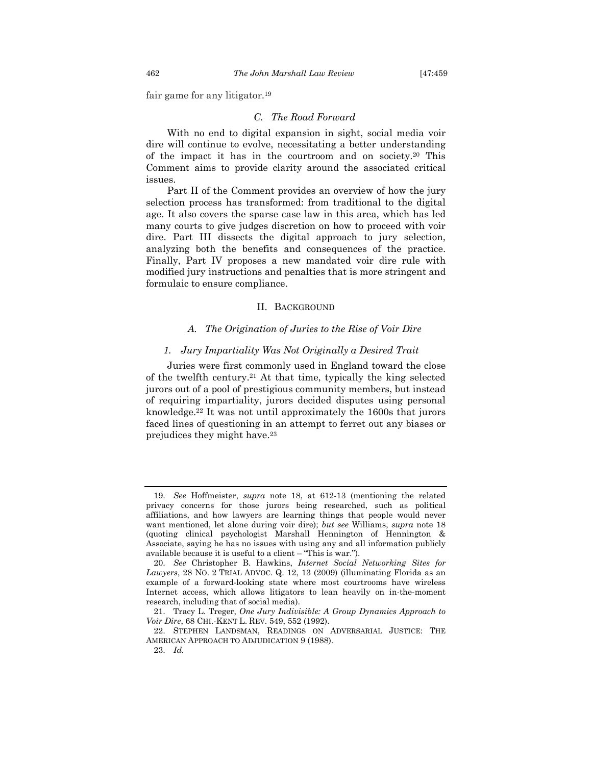fair game for any litigator.19

#### *C. The Road Forward*

With no end to digital expansion in sight, social media voir dire will continue to evolve, necessitating a better understanding of the impact it has in the courtroom and on society.20 This Comment aims to provide clarity around the associated critical issues.

Part II of the Comment provides an overview of how the jury selection process has transformed: from traditional to the digital age. It also covers the sparse case law in this area, which has led many courts to give judges discretion on how to proceed with voir dire. Part III dissects the digital approach to jury selection, analyzing both the benefits and consequences of the practice. Finally, Part IV proposes a new mandated voir dire rule with modified jury instructions and penalties that is more stringent and formulaic to ensure compliance.

#### II. BACKGROUND

# *A. The Origination of Juries to the Rise of Voir Dire*

#### *1. Jury Impartiality Was Not Originally a Desired Trait*

Juries were first commonly used in England toward the close of the twelfth century.21 At that time, typically the king selected jurors out of a pool of prestigious community members, but instead of requiring impartiality, jurors decided disputes using personal knowledge.22 It was not until approximately the 1600s that jurors faced lines of questioning in an attempt to ferret out any biases or prejudices they might have.23

 <sup>19.</sup> *See* Hoffmeister, *supra* note 18, at 612-13 (mentioning the related privacy concerns for those jurors being researched, such as political affiliations, and how lawyers are learning things that people would never want mentioned, let alone during voir dire); *but see* Williams, *supra* note 18 (quoting clinical psychologist Marshall Hennington of Hennington & Associate, saying he has no issues with using any and all information publicly available because it is useful to a client – "This is war.").

 <sup>20.</sup> *See* Christopher B. Hawkins, *Internet Social Networking Sites for Lawyers*, 28 NO. 2 TRIAL ADVOC. Q. 12, 13 (2009) (illuminating Florida as an example of a forward-looking state where most courtrooms have wireless Internet access, which allows litigators to lean heavily on in-the-moment research, including that of social media).

 <sup>21.</sup> Tracy L. Treger, *One Jury Indivisible: A Group Dynamics Approach to Voir Dire*, 68 CHI.-KENT L. REV. 549, 552 (1992).

 <sup>22.</sup> STEPHEN LANDSMAN, READINGS ON ADVERSARIAL JUSTICE: THE AMERICAN APPROACH TO ADJUDICATION 9 (1988).

 <sup>23.</sup> *Id.*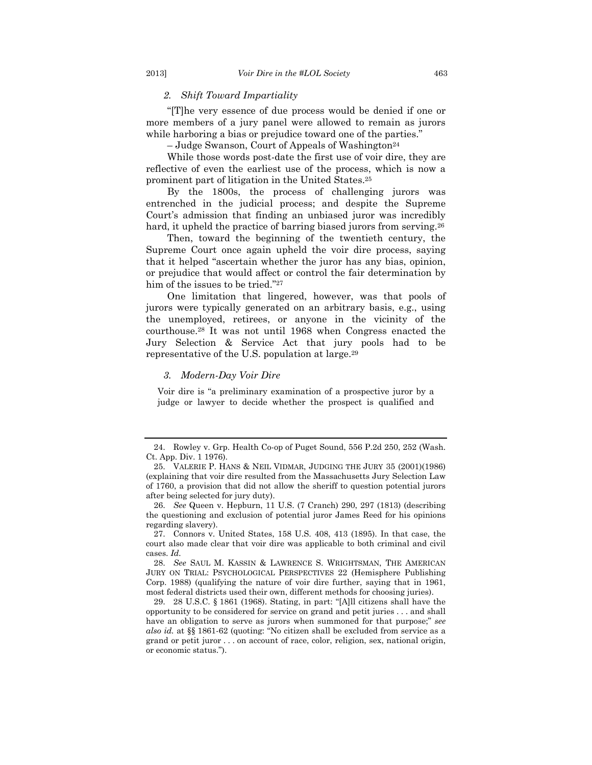# *2. Shift Toward Impartiality*

"[T]he very essence of due process would be denied if one or more members of a jury panel were allowed to remain as jurors while harboring a bias or prejudice toward one of the parties."

– Judge Swanson, Court of Appeals of Washington24

While those words post-date the first use of voir dire, they are reflective of even the earliest use of the process, which is now a prominent part of litigation in the United States.25

By the 1800s, the process of challenging jurors was entrenched in the judicial process; and despite the Supreme Court's admission that finding an unbiased juror was incredibly hard, it upheld the practice of barring biased jurors from serving.<sup>26</sup>

Then, toward the beginning of the twentieth century, the Supreme Court once again upheld the voir dire process, saying that it helped "ascertain whether the juror has any bias, opinion, or prejudice that would affect or control the fair determination by him of the issues to be tried."27

One limitation that lingered, however, was that pools of jurors were typically generated on an arbitrary basis, e.g., using the unemployed, retirees, or anyone in the vicinity of the courthouse.28 It was not until 1968 when Congress enacted the Jury Selection & Service Act that jury pools had to be representative of the U.S. population at large.29

# *3. Modern-Day Voir Dire*

Voir dire is "a preliminary examination of a prospective juror by a judge or lawyer to decide whether the prospect is qualified and

 <sup>24.</sup> Rowley v. Grp. Health Co-op of Puget Sound, 556 P.2d 250, 252 (Wash. Ct. App. Div. 1 1976).

 <sup>25.</sup> VALERIE P. HANS & NEIL VIDMAR, JUDGING THE JURY 35 (2001)(1986) (explaining that voir dire resulted from the Massachusetts Jury Selection Law of 1760, a provision that did not allow the sheriff to question potential jurors after being selected for jury duty).

 <sup>26.</sup> *See* Queen v. Hepburn, 11 U.S. (7 Cranch) 290, 297 (1813) (describing the questioning and exclusion of potential juror James Reed for his opinions regarding slavery).

 <sup>27.</sup> Connors v. United States, 158 U.S. 408, 413 (1895). In that case, the court also made clear that voir dire was applicable to both criminal and civil cases. *Id.* 

 <sup>28.</sup> *See* SAUL M. KASSIN & LAWRENCE S. WRIGHTSMAN, THE AMERICAN JURY ON TRIAL: PSYCHOLOGICAL PERSPECTIVES 22 (Hemisphere Publishing Corp. 1988) (qualifying the nature of voir dire further, saying that in 1961, most federal districts used their own, different methods for choosing juries).

 <sup>29. 28</sup> U.S.C. § 1861 (1968). Stating, in part: "[A]ll citizens shall have the opportunity to be considered for service on grand and petit juries . . . and shall have an obligation to serve as jurors when summoned for that purpose;" *see also id.* at §§ 1861-62 (quoting: "No citizen shall be excluded from service as a grand or petit juror . . . on account of race, color, religion, sex, national origin, or economic status.").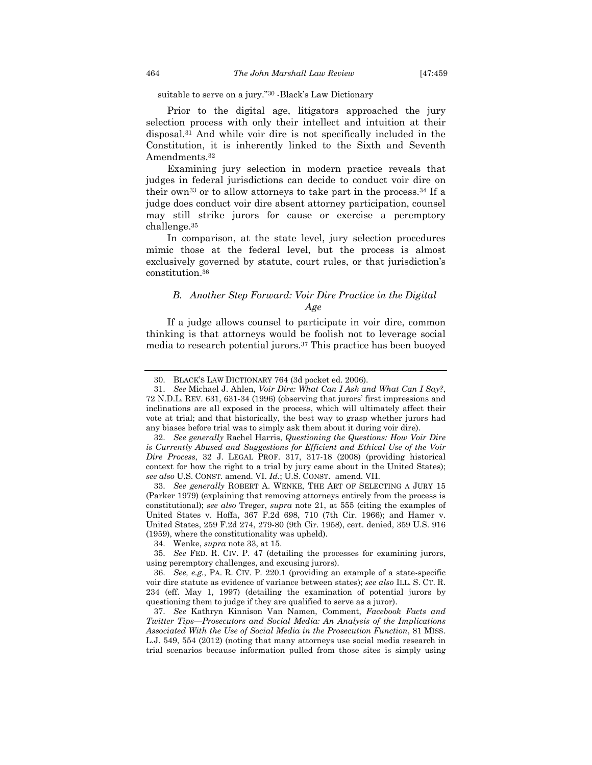# suitable to serve on a jury."30 -Black's Law Dictionary

Prior to the digital age, litigators approached the jury selection process with only their intellect and intuition at their disposal.31 And while voir dire is not specifically included in the Constitution, it is inherently linked to the Sixth and Seventh Amendments.32

Examining jury selection in modern practice reveals that judges in federal jurisdictions can decide to conduct voir dire on their own<sup>33</sup> or to allow attorneys to take part in the process.<sup>34</sup> If a judge does conduct voir dire absent attorney participation, counsel may still strike jurors for cause or exercise a peremptory challenge.35

In comparison, at the state level, jury selection procedures mimic those at the federal level, but the process is almost exclusively governed by statute, court rules, or that jurisdiction's constitution.36

# *B. Another Step Forward: Voir Dire Practice in the Digital Age*

If a judge allows counsel to participate in voir dire, common thinking is that attorneys would be foolish not to leverage social media to research potential jurors.37 This practice has been buoyed

 <sup>30.</sup> BLACK'S LAW DICTIONARY 764 (3d pocket ed. 2006).

 <sup>31.</sup> *See* Michael J. Ahlen, *Voir Dire: What Can I Ask and What Can I Say?*, 72 N.D.L. REV. 631, 631-34 (1996) (observing that jurors' first impressions and inclinations are all exposed in the process, which will ultimately affect their vote at trial; and that historically, the best way to grasp whether jurors had any biases before trial was to simply ask them about it during voir dire).

 <sup>32.</sup> *See generally* Rachel Harris, *Questioning the Questions: How Voir Dire is Currently Abused and Suggestions for Efficient and Ethical Use of the Voir Dire Process*, 32 J. LEGAL PROF. 317, 317-18 (2008) (providing historical context for how the right to a trial by jury came about in the United States); *see also* U.S. CONST. amend. VI. *Id.*; U.S. CONST. amend. VII.

 <sup>33.</sup> *See generally* ROBERT A. WENKE, THE ART OF SELECTING A JURY 15 (Parker 1979) (explaining that removing attorneys entirely from the process is constitutional); *see also* Treger, *supra* note 21, at 555 (citing the examples of United States v. Hoffa, 367 F.2d 698, 710 (7th Cir. 1966); and Hamer v. United States, 259 F.2d 274, 279-80 (9th Cir. 1958), cert. denied, 359 U.S. 916 (1959), where the constitutionality was upheld).

 <sup>34.</sup> Wenke, *supra* note 33, at 15.

 <sup>35.</sup> *See* FED. R. CIV. P. 47 (detailing the processes for examining jurors, using peremptory challenges, and excusing jurors).

 <sup>36.</sup> *See, e.g.*, PA. R. CIV. P. 220.1 (providing an example of a state-specific voir dire statute as evidence of variance between states); *see also* ILL. S. CT. R. 234 (eff. May 1, 1997) (detailing the examination of potential jurors by questioning them to judge if they are qualified to serve as a juror).

 <sup>37.</sup> *See* Kathryn Kinnison Van Namen, Comment, *Facebook Facts and Twitter Tips—Prosecutors and Social Media: An Analysis of the Implications Associated With the Use of Social Media in the Prosecution Function*, 81 MISS. L.J. 549, 554 (2012) (noting that many attorneys use social media research in trial scenarios because information pulled from those sites is simply using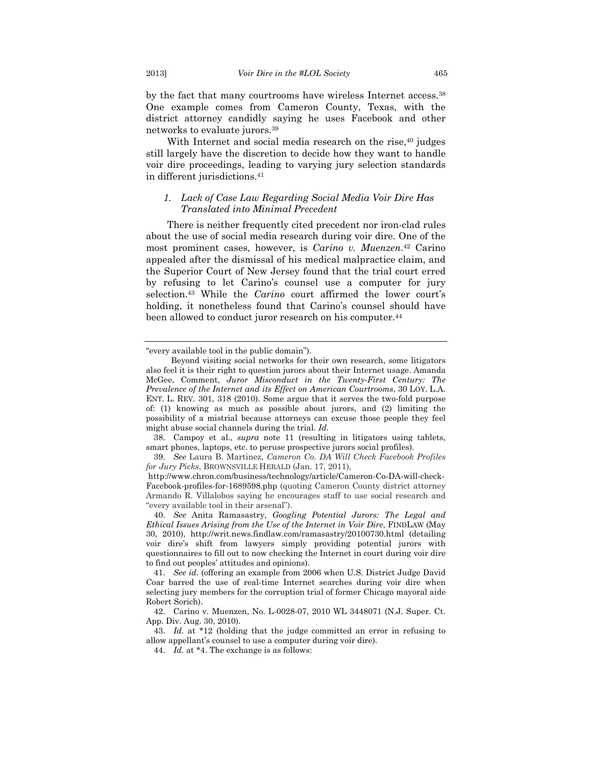by the fact that many courtrooms have wireless Internet access.38 One example comes from Cameron County, Texas, with the district attorney candidly saying he uses Facebook and other networks to evaluate jurors.39

With Internet and social media research on the rise, <sup>40</sup> judges still largely have the discretion to decide how they want to handle voir dire proceedings, leading to varying jury selection standards in different jurisdictions.41

# *1. Lack of Case Law Regarding Social Media Voir Dire Has Translated into Minimal Precedent*

There is neither frequently cited precedent nor iron-clad rules about the use of social media research during voir dire. One of the most prominent cases, however, is *Carino v. Muenzen*.42 Carino appealed after the dismissal of his medical malpractice claim, and the Superior Court of New Jersey found that the trial court erred by refusing to let Carino's counsel use a computer for jury selection.43 While the *Carino* court affirmed the lower court's holding, it nonetheless found that Carino's counsel should have been allowed to conduct juror research on his computer.<sup>44</sup>

 38. Campoy et al., *supra* note 11 (resulting in litigators using tablets, smart phones, laptops, etc. to peruse prospective jurors social profiles).

<sup>&</sup>quot;every available tool in the public domain").

Beyond visiting social networks for their own research, some litigators also feel it is their right to question jurors about their Internet usage. Amanda McGee, Comment, *Juror Misconduct in the Twenty-First Century: The Prevalence of the Internet and its Effect on American Courtrooms*, 30 LOY. L.A. ENT. L. REV. 301, 318 (2010). Some argue that it serves the two-fold purpose of: (1) knowing as much as possible about jurors, and (2) limiting the possibility of a mistrial because attorneys can excuse those people they feel might abuse social channels during the trial. *Id.*

 <sup>39.</sup> *See* Laura B. Martinez, *Cameron Co. DA Will Check Facebook Profiles for Jury Picks*, BROWNSVILLE HERALD (Jan. 17, 2011),

http://www.chron.com/business/technology/article/Cameron-Co-DA-will-check-Facebook-profiles-for-1689598.php (quoting Cameron County district attorney Armando R. Villalobos saying he encourages staff to use social research and "every available tool in their arsenal").

 <sup>40.</sup> *See* Anita Ramasastry, *Googling Potential Jurors: The Legal and Ethical Issues Arising from the Use of the Internet in Voir Dire*, FINDLAW (May 30, 2010), http://writ.news.findlaw.com/ramasastry/20100730.html (detailing voir dire's shift from lawyers simply providing potential jurors with questionnaires to fill out to now checking the Internet in court during voir dire to find out peoples' attitudes and opinions).

 <sup>41.</sup> *See id.* (offering an example from 2006 when U.S. District Judge David Coar barred the use of real-time Internet searches during voir dire when selecting jury members for the corruption trial of former Chicago mayoral aide Robert Sorich).

 <sup>42.</sup> Carino v. Muenzen, No. L-0028-07, 2010 WL 3448071 (N.J. Super. Ct. App. Div. Aug. 30, 2010).

 <sup>43.</sup> *Id.* at \*12 (holding that the judge committed an error in refusing to allow appellant's counsel to use a computer during voir dire).

 <sup>44.</sup> *Id.* at \*4. The exchange is as follows: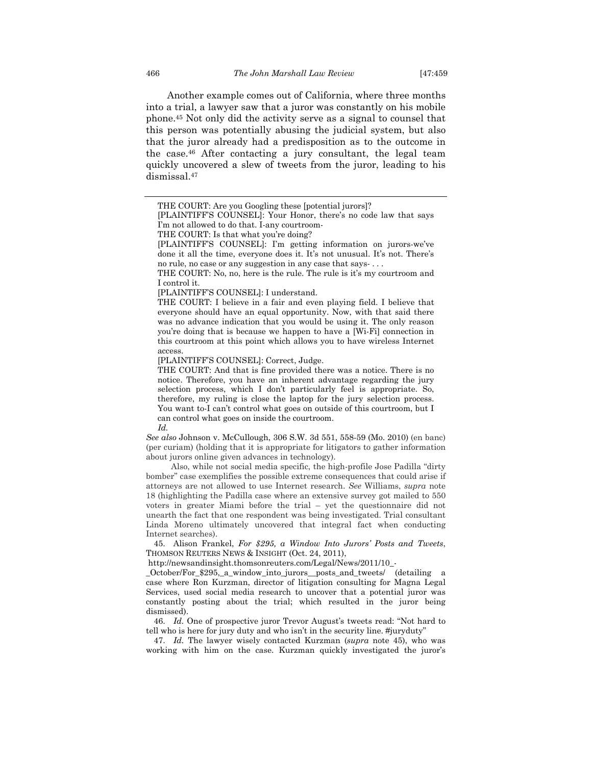Another example comes out of California, where three months into a trial, a lawyer saw that a juror was constantly on his mobile phone.45 Not only did the activity serve as a signal to counsel that this person was potentially abusing the judicial system, but also that the juror already had a predisposition as to the outcome in the case.46 After contacting a jury consultant, the legal team quickly uncovered a slew of tweets from the juror, leading to his dismissal.47

[PLAINTIFF'S COUNSEL]: I understand.

THE COURT: I believe in a fair and even playing field. I believe that everyone should have an equal opportunity. Now, with that said there was no advance indication that you would be using it. The only reason you're doing that is because we happen to have a [Wi-Fi] connection in this courtroom at this point which allows you to have wireless Internet access.

[PLAINTIFF'S COUNSEL]: Correct, Judge.

THE COURT: And that is fine provided there was a notice. There is no notice. Therefore, you have an inherent advantage regarding the jury selection process, which I don't particularly feel is appropriate. So, therefore, my ruling is close the laptop for the jury selection process. You want to-I can't control what goes on outside of this courtroom, but I can control what goes on inside the courtroom.

*Id.*

*See also* Johnson v. McCullough, 306 S.W. 3d 551, 558-59 (Mo. 2010) (en banc) (per curiam) (holding that it is appropriate for litigators to gather information about jurors online given advances in technology).

 Also, while not social media specific, the high-profile Jose Padilla "dirty bomber" case exemplifies the possible extreme consequences that could arise if attorneys are not allowed to use Internet research. *See* Williams, *supra* note 18 (highlighting the Padilla case where an extensive survey got mailed to 550 voters in greater Miami before the trial – yet the questionnaire did not unearth the fact that one respondent was being investigated. Trial consultant Linda Moreno ultimately uncovered that integral fact when conducting Internet searches).

 45. Alison Frankel, *For \$295, a Window Into Jurors' Posts and Tweets*, THOMSON REUTERS NEWS & INSIGHT (Oct. 24, 2011),

http://newsandinsight.thomsonreuters.com/Legal/News/2011/10\_-

\_October/For\_\$295,\_a\_window\_into\_jurors\_\_posts\_and\_tweets/ (detailing a case where Ron Kurzman, director of litigation consulting for Magna Legal Services, used social media research to uncover that a potential juror was constantly posting about the trial; which resulted in the juror being dismissed).

 46. *Id.* One of prospective juror Trevor August's tweets read: "Not hard to tell who is here for jury duty and who isn't in the security line. #juryduty"

 47. *Id.* The lawyer wisely contacted Kurzman (*supra* note 45), who was working with him on the case. Kurzman quickly investigated the juror's

THE COURT: Are you Googling these [potential jurors]?

<sup>[</sup>PLAINTIFF'S COUNSEL]: Your Honor, there's no code law that says I'm not allowed to do that. I-any courtroom-

THE COURT: Is that what you're doing?

<sup>[</sup>PLAINTIFF'S COUNSEL]: I'm getting information on jurors-we've done it all the time, everyone does it. It's not unusual. It's not. There's no rule, no case or any suggestion in any case that says- . . .

THE COURT: No, no, here is the rule. The rule is it's my courtroom and I control it.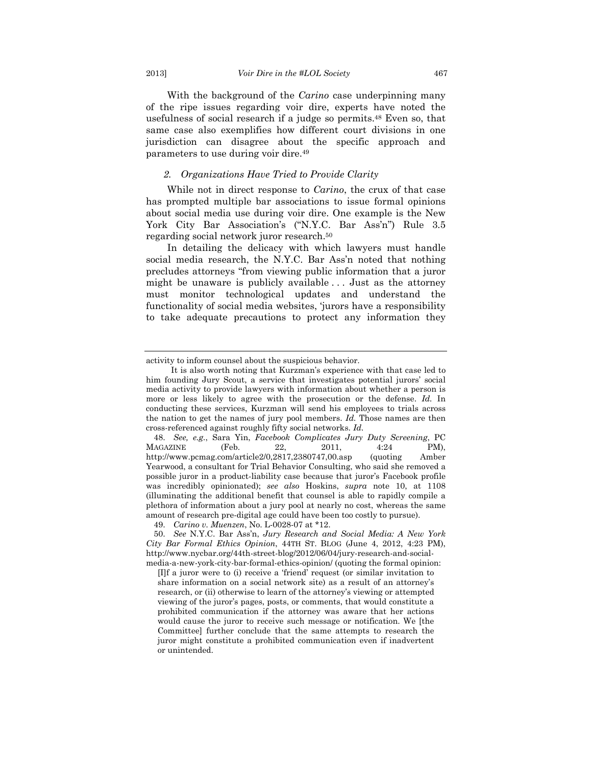With the background of the *Carino* case underpinning many of the ripe issues regarding voir dire, experts have noted the usefulness of social research if a judge so permits.48 Even so, that same case also exemplifies how different court divisions in one jurisdiction can disagree about the specific approach and parameters to use during voir dire.49

# *2. Organizations Have Tried to Provide Clarity*

While not in direct response to *Carino*, the crux of that case has prompted multiple bar associations to issue formal opinions about social media use during voir dire. One example is the New York City Bar Association's ("N.Y.C. Bar Ass'n") Rule 3.5 regarding social network juror research.50

In detailing the delicacy with which lawyers must handle social media research, the N.Y.C. Bar Ass'n noted that nothing precludes attorneys "from viewing public information that a juror might be unaware is publicly available . . . Just as the attorney must monitor technological updates and understand the functionality of social media websites, 'jurors have a responsibility to take adequate precautions to protect any information they

activity to inform counsel about the suspicious behavior.

It is also worth noting that Kurzman's experience with that case led to him founding Jury Scout, a service that investigates potential jurors' social media activity to provide lawyers with information about whether a person is more or less likely to agree with the prosecution or the defense. *Id.* In conducting these services, Kurzman will send his employees to trials across the nation to get the names of jury pool members. *Id.* Those names are then cross-referenced against roughly fifty social networks. *Id.*

 <sup>48.</sup> *See, e.g.*, Sara Yin, *Facebook Complicates Jury Duty Screening*, PC  $MAGAZINE$  (Feb. 22, 2011, 4:24 PM), http://www.pcmag.com/article2/0,2817,2380747,00.asp (quoting Amber Yearwood, a consultant for Trial Behavior Consulting, who said she removed a possible juror in a product-liability case because that juror's Facebook profile was incredibly opinionated); *see also* Hoskins, *supra* note 10, at 1108 (illuminating the additional benefit that counsel is able to rapidly compile a plethora of information about a jury pool at nearly no cost, whereas the same amount of research pre-digital age could have been too costly to pursue).

 <sup>49.</sup> *Carino v. Muenzen*, No. L-0028-07 at \*12.

 <sup>50.</sup> *See* N.Y.C. Bar Ass'n, *Jury Research and Social Media: A New York City Bar Formal Ethics Opinion*, 44TH ST. BLOG (June 4, 2012, 4:23 PM), http://www.nycbar.org/44th-street-blog/2012/06/04/jury-research-and-socialmedia-a-new-york-city-bar-formal-ethics-opinion/ (quoting the formal opinion:

<sup>[</sup>I]f a juror were to (i) receive a 'friend' request (or similar invitation to share information on a social network site) as a result of an attorney's research, or (ii) otherwise to learn of the attorney's viewing or attempted viewing of the juror's pages, posts, or comments, that would constitute a prohibited communication if the attorney was aware that her actions would cause the juror to receive such message or notification. We [the Committee] further conclude that the same attempts to research the juror might constitute a prohibited communication even if inadvertent or unintended.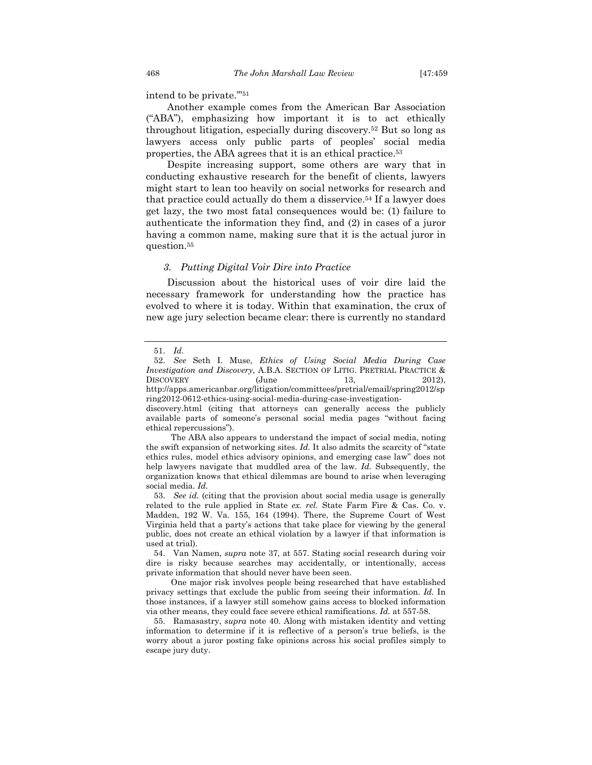intend to be private.'"51

Another example comes from the American Bar Association ("ABA"), emphasizing how important it is to act ethically throughout litigation, especially during discovery.52 But so long as lawyers access only public parts of peoples' social media properties, the ABA agrees that it is an ethical practice.53

Despite increasing support, some others are wary that in conducting exhaustive research for the benefit of clients, lawyers might start to lean too heavily on social networks for research and that practice could actually do them a disservice.54 If a lawyer does get lazy, the two most fatal consequences would be: (1) failure to authenticate the information they find, and (2) in cases of a juror having a common name, making sure that it is the actual juror in question.55

#### *3. Putting Digital Voir Dire into Practice*

Discussion about the historical uses of voir dire laid the necessary framework for understanding how the practice has evolved to where it is today. Within that examination, the crux of new age jury selection became clear: there is currently no standard

 53. *See id.* (citing that the provision about social media usage is generally related to the rule applied in State *ex. rel.* State Farm Fire & Cas. Co. v. Madden, 192 W. Va. 155, 164 (1994). There, the Supreme Court of West Virginia held that a party's actions that take place for viewing by the general public, does not create an ethical violation by a lawyer if that information is used at trial).

 54. Van Namen, *supra* note 37, at 557. Stating social research during voir dire is risky because searches may accidentally, or intentionally, access private information that should never have been seen.

 One major risk involves people being researched that have established privacy settings that exclude the public from seeing their information. *Id.* In those instances, if a lawyer still somehow gains access to blocked information via other means, they could face severe ethical ramifications. *Id.* at 557-58.

 55. Ramasastry, *supra* note 40. Along with mistaken identity and vetting information to determine if it is reflective of a person's true beliefs, is the worry about a juror posting fake opinions across his social profiles simply to escape jury duty.

 <sup>51.</sup> *Id.* 

 <sup>52.</sup> *See* Seth I. Muse, *Ethics of Using Social Media During Case Investigation and Discovery*, A.B.A. SECTION OF LITIG. PRETRIAL PRACTICE & DISCOVERY (June 13, 2012). http://apps.americanbar.org/litigation/committees/pretrial/email/spring2012/sp

ring2012-0612-ethics-using-social-media-during-case-investigationdiscovery.html (citing that attorneys can generally access the publicly available parts of someone's personal social media pages "without facing ethical repercussions").

The ABA also appears to understand the impact of social media, noting the swift expansion of networking sites. *Id.* It also admits the scarcity of "state ethics rules, model ethics advisory opinions, and emerging case law" does not help lawyers navigate that muddled area of the law. *Id.* Subsequently, the organization knows that ethical dilemmas are bound to arise when leveraging social media. *Id.*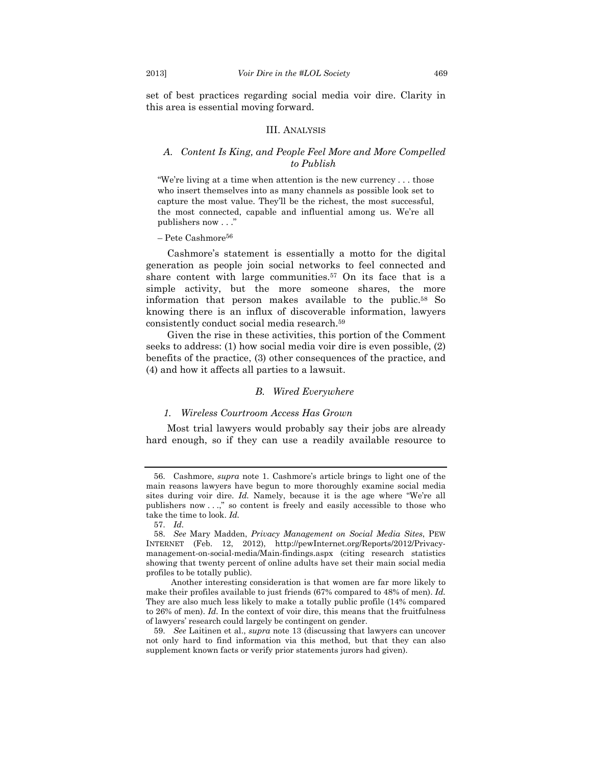set of best practices regarding social media voir dire. Clarity in this area is essential moving forward.

#### III. ANALYSIS

#### *A. Content Is King, and People Feel More and More Compelled to Publish*

"We're living at a time when attention is the new currency . . . those who insert themselves into as many channels as possible look set to capture the most value. They'll be the richest, the most successful, the most connected, capable and influential among us. We're all publishers now . . ."

 $-$  Pete Cashmore<sup>56</sup>

Cashmore's statement is essentially a motto for the digital generation as people join social networks to feel connected and share content with large communities.57 On its face that is a simple activity, but the more someone shares, the more information that person makes available to the public.58 So knowing there is an influx of discoverable information, lawyers consistently conduct social media research.59

Given the rise in these activities, this portion of the Comment seeks to address: (1) how social media voir dire is even possible, (2) benefits of the practice, (3) other consequences of the practice, and (4) and how it affects all parties to a lawsuit.

#### *B. Wired Everywhere*

#### *1. Wireless Courtroom Access Has Grown*

Most trial lawyers would probably say their jobs are already hard enough, so if they can use a readily available resource to

 <sup>56.</sup> Cashmore, *supra* note 1. Cashmore's article brings to light one of the main reasons lawyers have begun to more thoroughly examine social media sites during voir dire. *Id.* Namely, because it is the age where "We're all publishers now . . .," so content is freely and easily accessible to those who take the time to look. *Id.*

 <sup>57.</sup> *Id.* 

 <sup>58.</sup> *See* Mary Madden, *Privacy Management on Social Media Sites*, PEW INTERNET (Feb. 12, 2012), http://pewInternet.org/Reports/2012/Privacymanagement-on-social-media/Main-findings.aspx (citing research statistics showing that twenty percent of online adults have set their main social media profiles to be totally public).

Another interesting consideration is that women are far more likely to make their profiles available to just friends (67% compared to 48% of men). *Id.* They are also much less likely to make a totally public profile (14% compared to 26% of men). *Id.* In the context of voir dire, this means that the fruitfulness of lawyers' research could largely be contingent on gender.

 <sup>59.</sup> *See* Laitinen et al., *supra* note 13 (discussing that lawyers can uncover not only hard to find information via this method, but that they can also supplement known facts or verify prior statements jurors had given).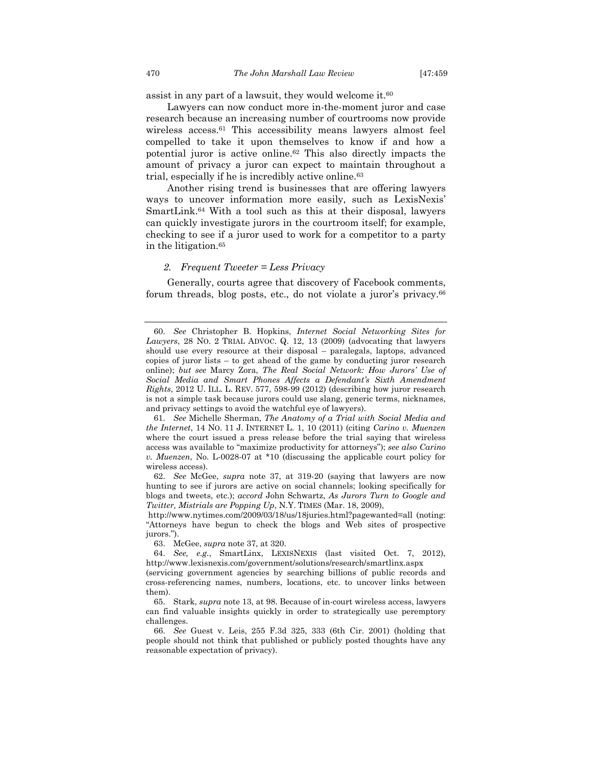assist in any part of a lawsuit, they would welcome it.60

Lawyers can now conduct more in-the-moment juror and case research because an increasing number of courtrooms now provide wireless access.<sup>61</sup> This accessibility means lawyers almost feel compelled to take it upon themselves to know if and how a potential juror is active online.62 This also directly impacts the amount of privacy a juror can expect to maintain throughout a trial, especially if he is incredibly active online.63

Another rising trend is businesses that are offering lawyers ways to uncover information more easily, such as LexisNexis' SmartLink.64 With a tool such as this at their disposal, lawyers can quickly investigate jurors in the courtroom itself; for example, checking to see if a juror used to work for a competitor to a party in the litigation.65

#### *2. Frequent Tweeter = Less Privacy*

Generally, courts agree that discovery of Facebook comments, forum threads, blog posts, etc., do not violate a juror's privacy.66

 61. *See* Michelle Sherman, *The Anatomy of a Trial with Social Media and the Internet*, 14 NO. 11 J. INTERNET L. 1, 10 (2011) (citing *Carino v. Muenzen* where the court issued a press release before the trial saying that wireless access was available to "maximize productivity for attorneys"); *see also Carino v. Muenzen*, No. L-0028-07 at \*10 (discussing the applicable court policy for wireless access).

 <sup>60.</sup> *See* Christopher B. Hopkins, *Internet Social Networking Sites for Lawyers*, 28 NO. 2 TRIAL ADVOC. Q. 12, 13 (2009) (advocating that lawyers should use every resource at their disposal – paralegals, laptops, advanced copies of juror lists – to get ahead of the game by conducting juror research online); *but see* Marcy Zora, *The Real Social Network: How Jurors' Use of Social Media and Smart Phones Affects a Defendant's Sixth Amendment Rights*, 2012 U. ILL. L. REV. 577, 598-99 (2012) (describing how juror research is not a simple task because jurors could use slang, generic terms, nicknames, and privacy settings to avoid the watchful eye of lawyers).

 <sup>62.</sup> *See* McGee, *supra* note 37, at 319-20 (saying that lawyers are now hunting to see if jurors are active on social channels; looking specifically for blogs and tweets, etc.); *accord* John Schwartz, *As Jurors Turn to Google and Twitter, Mistrials are Popping Up*, N.Y. TIMES (Mar. 18, 2009),

http://www.nytimes.com/2009/03/18/us/18juries.html?pagewanted=all (noting: "Attorneys have begun to check the blogs and Web sites of prospective jurors.").

 <sup>63.</sup> McGee, *supra* note 37, at 320.

 <sup>64.</sup> *See, e.g.*, SmartLinx, LEXISNEXIS (last visited Oct. 7, 2012), http://www.lexisnexis.com/government/solutions/research/smartlinx.aspx

<sup>(</sup>servicing government agencies by searching billions of public records and cross-referencing names, numbers, locations, etc. to uncover links between them).

 <sup>65.</sup> Stark, *supra* note 13, at 98. Because of in-court wireless access, lawyers can find valuable insights quickly in order to strategically use peremptory challenges.

 <sup>66.</sup> *See* Guest v. Leis, 255 F.3d 325, 333 (6th Cir. 2001) (holding that people should not think that published or publicly posted thoughts have any reasonable expectation of privacy).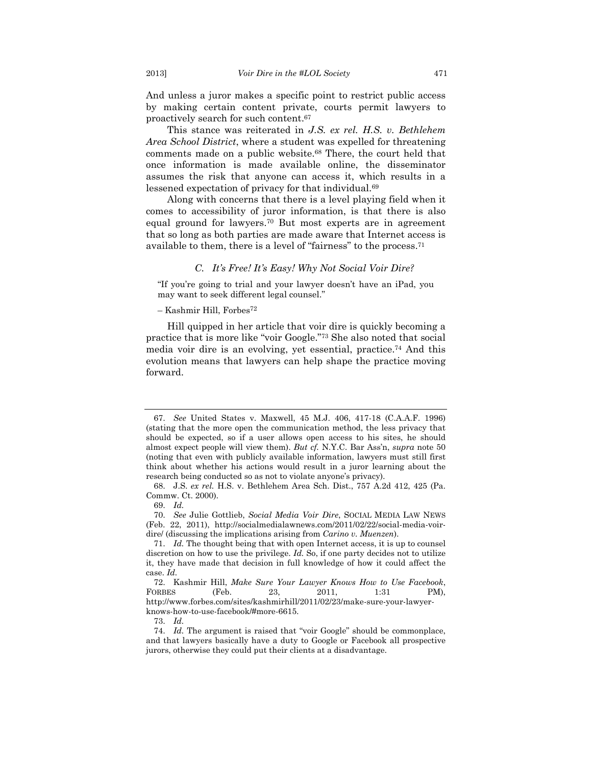And unless a juror makes a specific point to restrict public access by making certain content private, courts permit lawyers to proactively search for such content.67

This stance was reiterated in *J.S. ex rel. H.S. v. Bethlehem Area School District*, where a student was expelled for threatening comments made on a public website.68 There, the court held that once information is made available online, the disseminator assumes the risk that anyone can access it, which results in a lessened expectation of privacy for that individual.69

Along with concerns that there is a level playing field when it comes to accessibility of juror information, is that there is also equal ground for lawyers.70 But most experts are in agreement that so long as both parties are made aware that Internet access is available to them, there is a level of "fairness" to the process.71

#### *C. It's Free! It's Easy! Why Not Social Voir Dire?*

"If you're going to trial and your lawyer doesn't have an iPad, you may want to seek different legal counsel."

#### – Kashmir Hill, Forbes72

Hill quipped in her article that voir dire is quickly becoming a practice that is more like "voir Google."73 She also noted that social media voir dire is an evolving, yet essential, practice.74 And this evolution means that lawyers can help shape the practice moving forward.

73. *Id.* 

 <sup>67.</sup> *See* United States v. Maxwell, 45 M.J. 406, 417-18 (C.A.A.F. 1996) (stating that the more open the communication method, the less privacy that should be expected, so if a user allows open access to his sites, he should almost expect people will view them). *But cf.* N.Y.C. Bar Ass'n, *supra* note 50 (noting that even with publicly available information, lawyers must still first think about whether his actions would result in a juror learning about the research being conducted so as not to violate anyone's privacy).

 <sup>68.</sup> J.S. *ex rel.* H.S. v. Bethlehem Area Sch. Dist., 757 A.2d 412, 425 (Pa. Commw. Ct. 2000).

 <sup>69.</sup> *Id.*

 <sup>70.</sup> *See* Julie Gottlieb, *Social Media Voir Dire*, SOCIAL MEDIA LAW NEWS (Feb. 22, 2011), http://socialmedialawnews.com/2011/02/22/social-media-voirdire/ (discussing the implications arising from *Carino v. Muenzen*).

 <sup>71.</sup> *Id.* The thought being that with open Internet access, it is up to counsel discretion on how to use the privilege. *Id.* So, if one party decides not to utilize it, they have made that decision in full knowledge of how it could affect the case. *Id.* 

 <sup>72.</sup> Kashmir Hill, *Make Sure Your Lawyer Knows How to Use Facebook*, FORBES (Feb. 23, 2011, 1:31 PM), http://www.forbes.com/sites/kashmirhill/2011/02/23/make-sure-your-lawyerknows-how-to-use-facebook/#more-6615.

 <sup>74.</sup> *Id.* The argument is raised that "voir Google" should be commonplace, and that lawyers basically have a duty to Google or Facebook all prospective jurors, otherwise they could put their clients at a disadvantage.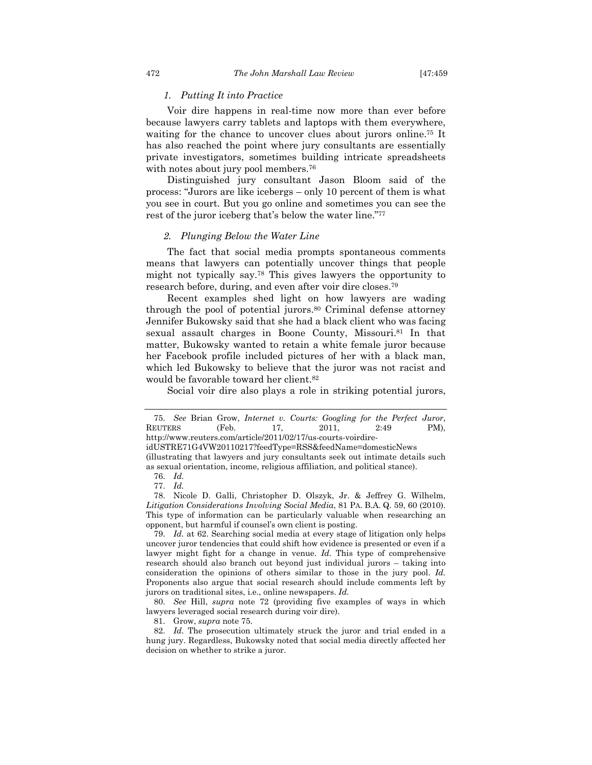#### *1. Putting It into Practice*

Voir dire happens in real-time now more than ever before because lawyers carry tablets and laptops with them everywhere, waiting for the chance to uncover clues about jurors online.<sup>75</sup> It has also reached the point where jury consultants are essentially private investigators, sometimes building intricate spreadsheets with notes about jury pool members.<sup>76</sup>

Distinguished jury consultant Jason Bloom said of the process: "Jurors are like icebergs – only 10 percent of them is what you see in court. But you go online and sometimes you can see the rest of the juror iceberg that's below the water line."77

#### *2. Plunging Below the Water Line*

The fact that social media prompts spontaneous comments means that lawyers can potentially uncover things that people might not typically say.78 This gives lawyers the opportunity to research before, during, and even after voir dire closes.79

Recent examples shed light on how lawyers are wading through the pool of potential jurors.80 Criminal defense attorney Jennifer Bukowsky said that she had a black client who was facing sexual assault charges in Boone County, Missouri.81 In that matter, Bukowsky wanted to retain a white female juror because her Facebook profile included pictures of her with a black man, which led Bukowsky to believe that the juror was not racist and would be favorable toward her client.82

Social voir dire also plays a role in striking potential jurors,

81. Grow, *supra* note 75.

 <sup>75.</sup> *See* Brian Grow, *Internet v. Courts: Googling for the Perfect Juror*, REUTERS (Feb. 17, 2011, 2:49 PM), http://www.reuters.com/article/2011/02/17/us-courts-voirdire-

idUSTRE71G4VW20110217?feedType=RSS&feedName=domesticNews (illustrating that lawyers and jury consultants seek out intimate details such as sexual orientation, income, religious affiliation, and political stance).

 <sup>76.</sup> *Id.*

 <sup>77.</sup> *Id.*

 <sup>78.</sup> Nicole D. Galli, Christopher D. Olszyk, Jr. & Jeffrey G. Wilhelm, *Litigation Considerations Involving Social Media*, 81 PA. B.A. Q. 59, 60 (2010). This type of information can be particularly valuable when researching an opponent, but harmful if counsel's own client is posting.

 <sup>79.</sup> *Id.* at 62. Searching social media at every stage of litigation only helps uncover juror tendencies that could shift how evidence is presented or even if a lawyer might fight for a change in venue. *Id.* This type of comprehensive research should also branch out beyond just individual jurors – taking into consideration the opinions of others similar to those in the jury pool. *Id.* Proponents also argue that social research should include comments left by jurors on traditional sites, i.e., online newspapers. *Id.*

 <sup>80.</sup> *See* Hill, *supra* note 72 (providing five examples of ways in which lawyers leveraged social research during voir dire).

 <sup>82.</sup> *Id.* The prosecution ultimately struck the juror and trial ended in a hung jury. Regardless, Bukowsky noted that social media directly affected her decision on whether to strike a juror.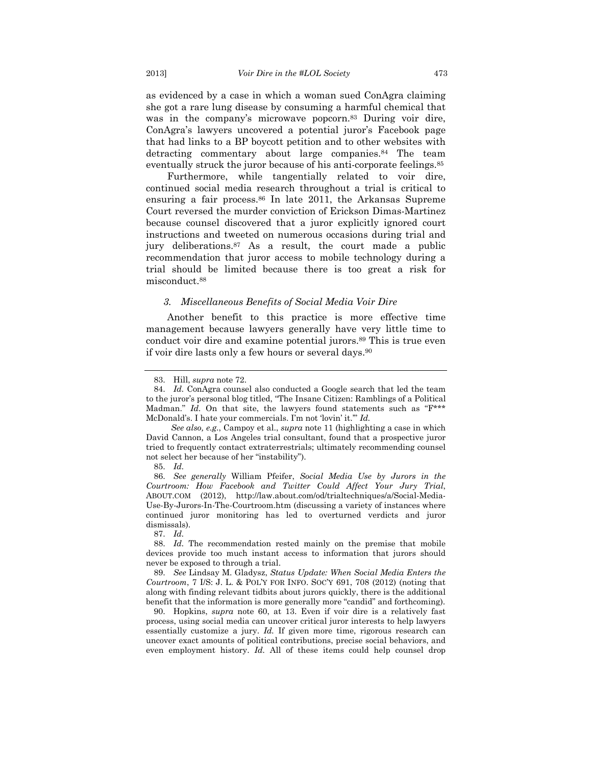as evidenced by a case in which a woman sued ConAgra claiming she got a rare lung disease by consuming a harmful chemical that was in the company's microwave popcorn.<sup>83</sup> During voir dire, ConAgra's lawyers uncovered a potential juror's Facebook page that had links to a BP boycott petition and to other websites with detracting commentary about large companies.<sup>84</sup> The team eventually struck the juror because of his anti-corporate feelings.85

Furthermore, while tangentially related to voir dire, continued social media research throughout a trial is critical to ensuring a fair process.86 In late 2011, the Arkansas Supreme Court reversed the murder conviction of Erickson Dimas-Martinez because counsel discovered that a juror explicitly ignored court instructions and tweeted on numerous occasions during trial and jury deliberations.87 As a result, the court made a public recommendation that juror access to mobile technology during a trial should be limited because there is too great a risk for misconduct.88

# *3. Miscellaneous Benefits of Social Media Voir Dire*

Another benefit to this practice is more effective time management because lawyers generally have very little time to conduct voir dire and examine potential jurors.<sup>89</sup> This is true even if voir dire lasts only a few hours or several days.90

 *See also, e.g.*, Campoy et al., *supra* note 11 (highlighting a case in which David Cannon, a Los Angeles trial consultant, found that a prospective juror tried to frequently contact extraterrestrials; ultimately recommending counsel not select her because of her "instability").

 86. *See generally* William Pfeifer, *Social Media Use by Jurors in the Courtroom: How Facebook and Twitter Could Affect Your Jury Trial*, ABOUT.COM (2012), http://law.about.com/od/trialtechniques/a/Social-Media-Use-By-Jurors-In-The-Courtroom.htm (discussing a variety of instances where continued juror monitoring has led to overturned verdicts and juror dismissals).

 89. *See* Lindsay M. Gladysz, *Status Update: When Social Media Enters the Courtroom*, 7 I/S: J. L. & POL'Y FOR INFO. SOC'Y 691, 708 (2012) (noting that along with finding relevant tidbits about jurors quickly, there is the additional benefit that the information is more generally more "candid" and forthcoming).

 90. Hopkins, *supra* note 60, at 13. Even if voir dire is a relatively fast process, using social media can uncover critical juror interests to help lawyers essentially customize a jury. *Id.* If given more time, rigorous research can uncover exact amounts of political contributions, precise social behaviors, and even employment history. *Id.* All of these items could help counsel drop

 <sup>83.</sup> Hill, *supra* note 72.

 <sup>84.</sup> *Id.* ConAgra counsel also conducted a Google search that led the team to the juror's personal blog titled, "The Insane Citizen: Ramblings of a Political Madman." *Id.* On that site, the lawyers found statements such as "F\*\*\* McDonald's. I hate your commercials. I'm not 'lovin' it.'" *Id.* 

 <sup>85.</sup> *Id.* 

 <sup>87.</sup> *Id.*

 <sup>88.</sup> *Id.* The recommendation rested mainly on the premise that mobile devices provide too much instant access to information that jurors should never be exposed to through a trial.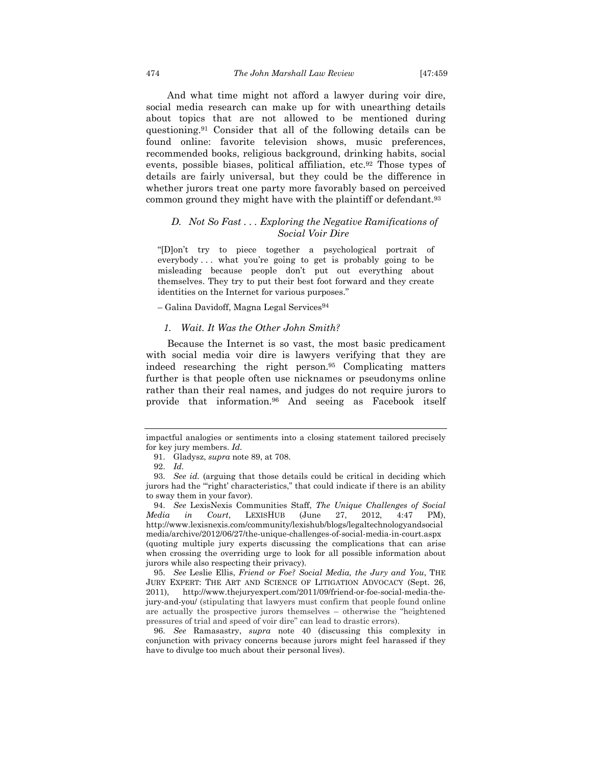And what time might not afford a lawyer during voir dire, social media research can make up for with unearthing details about topics that are not allowed to be mentioned during questioning.91 Consider that all of the following details can be found online: favorite television shows, music preferences, recommended books, religious background, drinking habits, social events, possible biases, political affiliation, etc.92 Those types of details are fairly universal, but they could be the difference in whether jurors treat one party more favorably based on perceived common ground they might have with the plaintiff or defendant.93

# *D. Not So Fast . . . Exploring the Negative Ramifications of Social Voir Dire*

"[D]on't try to piece together a psychological portrait of everybody . . . what you're going to get is probably going to be misleading because people don't put out everything about themselves. They try to put their best foot forward and they create identities on the Internet for various purposes."

– Galina Davidoff, Magna Legal Services94

#### *1. Wait. It Was the Other John Smith?*

Because the Internet is so vast, the most basic predicament with social media voir dire is lawyers verifying that they are indeed researching the right person.95 Complicating matters further is that people often use nicknames or pseudonyms online rather than their real names, and judges do not require jurors to provide that information.96 And seeing as Facebook itself

 94. *See* LexisNexis Communities Staff, *The Unique Challenges of Social Media in Court*, LEXISHUB (June 27, 2012, 4:47 PM), http://www.lexisnexis.com/community/lexishub/blogs/legaltechnologyandsocial media/archive/2012/06/27/the-unique-challenges-of-social-media-in-court.aspx (quoting multiple jury experts discussing the complications that can arise when crossing the overriding urge to look for all possible information about jurors while also respecting their privacy).

 95. *See* Leslie Ellis, *Friend or Foe? Social Media, the Jury and You*, THE JURY EXPERT: THE ART AND SCIENCE OF LITIGATION ADVOCACY (Sept. 26, 2011), http://www.thejuryexpert.com/2011/09/friend-or-foe-social-media-thejury-and-you/ (stipulating that lawyers must confirm that people found online are actually the prospective jurors themselves – otherwise the "heightened pressures of trial and speed of voir dire" can lead to drastic errors).

 96. *See* Ramasastry, *supra* note 40 (discussing this complexity in conjunction with privacy concerns because jurors might feel harassed if they have to divulge too much about their personal lives).

impactful analogies or sentiments into a closing statement tailored precisely for key jury members. *Id.* 

 <sup>91.</sup> Gladysz, *supra* note 89, at 708.

 <sup>92.</sup> *Id.* 

 <sup>93.</sup> *See id.* (arguing that those details could be critical in deciding which jurors had the "'right' characteristics," that could indicate if there is an ability to sway them in your favor).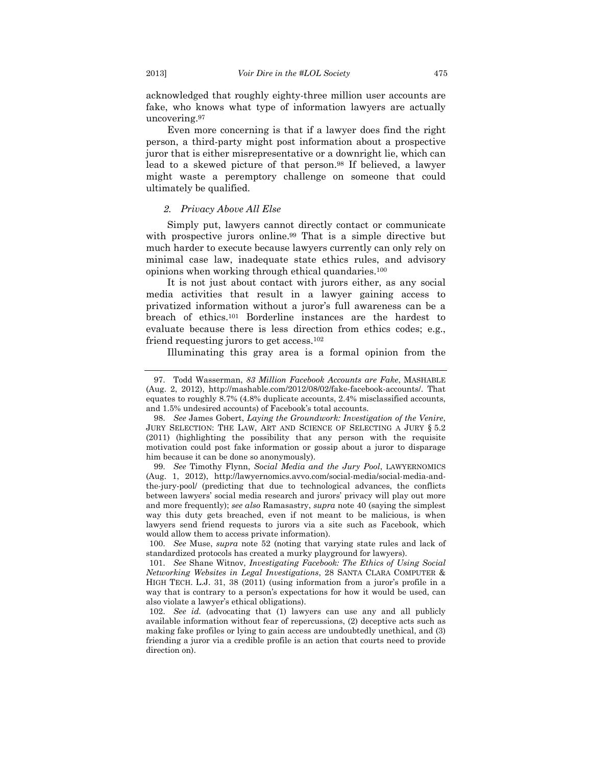acknowledged that roughly eighty-three million user accounts are fake, who knows what type of information lawyers are actually uncovering.97

Even more concerning is that if a lawyer does find the right person, a third-party might post information about a prospective juror that is either misrepresentative or a downright lie, which can lead to a skewed picture of that person.98 If believed, a lawyer might waste a peremptory challenge on someone that could ultimately be qualified.

#### *2. Privacy Above All Else*

Simply put, lawyers cannot directly contact or communicate with prospective jurors online.<sup>99</sup> That is a simple directive but much harder to execute because lawyers currently can only rely on minimal case law, inadequate state ethics rules, and advisory opinions when working through ethical quandaries.100

It is not just about contact with jurors either, as any social media activities that result in a lawyer gaining access to privatized information without a juror's full awareness can be a breach of ethics.101 Borderline instances are the hardest to evaluate because there is less direction from ethics codes; e.g., friend requesting jurors to get access.102

Illuminating this gray area is a formal opinion from the

 <sup>97.</sup> Todd Wasserman, *83 Million Facebook Accounts are Fake*, MASHABLE (Aug. 2, 2012), http://mashable.com/2012/08/02/fake-facebook-accounts/. That equates to roughly 8.7% (4.8% duplicate accounts, 2.4% misclassified accounts, and 1.5% undesired accounts) of Facebook's total accounts.

 <sup>98.</sup> *See* James Gobert, *Laying the Groundwork: Investigation of the Venire*, JURY SELECTION: THE LAW, ART AND SCIENCE OF SELECTING A JURY § 5.2 (2011) (highlighting the possibility that any person with the requisite motivation could post fake information or gossip about a juror to disparage him because it can be done so anonymously).

 <sup>99.</sup> *See* Timothy Flynn, *Social Media and the Jury Pool*, LAWYERNOMICS (Aug. 1, 2012), http://lawyernomics.avvo.com/social-media/social-media-andthe-jury-pool/ (predicting that due to technological advances, the conflicts between lawyers' social media research and jurors' privacy will play out more and more frequently); *see also* Ramasastry, *supra* note 40 (saying the simplest way this duty gets breached, even if not meant to be malicious, is when lawyers send friend requests to jurors via a site such as Facebook, which would allow them to access private information).

 <sup>100.</sup> *See* Muse, *supra* note 52 (noting that varying state rules and lack of standardized protocols has created a murky playground for lawyers).

 <sup>101.</sup> *See* Shane Witnov, *Investigating Facebook: The Ethics of Using Social Networking Websites in Legal Investigations*, 28 SANTA CLARA COMPUTER & HIGH TECH. L.J. 31, 38 (2011) (using information from a juror's profile in a way that is contrary to a person's expectations for how it would be used, can also violate a lawyer's ethical obligations).

 <sup>102.</sup> *See id.* (advocating that (1) lawyers can use any and all publicly available information without fear of repercussions, (2) deceptive acts such as making fake profiles or lying to gain access are undoubtedly unethical, and (3) friending a juror via a credible profile is an action that courts need to provide direction on).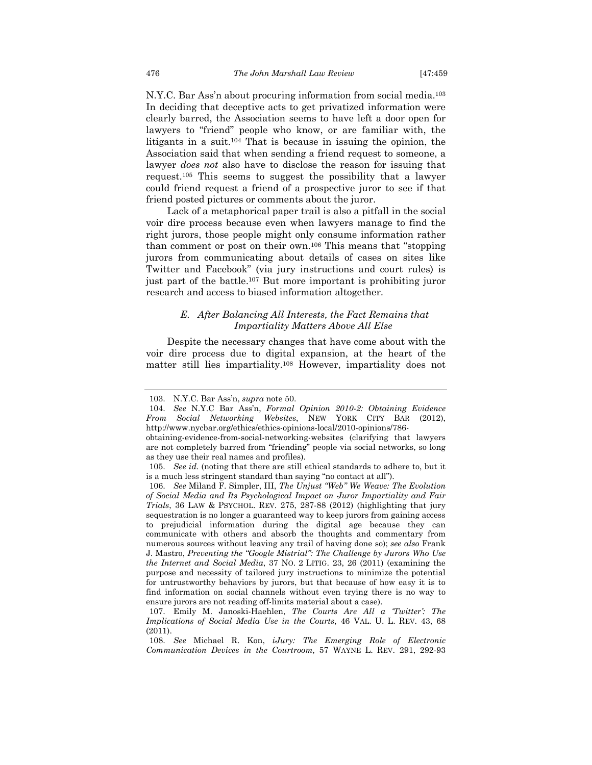N.Y.C. Bar Ass'n about procuring information from social media.103 In deciding that deceptive acts to get privatized information were clearly barred, the Association seems to have left a door open for lawyers to "friend" people who know, or are familiar with, the litigants in a suit.104 That is because in issuing the opinion, the Association said that when sending a friend request to someone, a lawyer *does not* also have to disclose the reason for issuing that request.105 This seems to suggest the possibility that a lawyer could friend request a friend of a prospective juror to see if that friend posted pictures or comments about the juror.

Lack of a metaphorical paper trail is also a pitfall in the social voir dire process because even when lawyers manage to find the right jurors, those people might only consume information rather than comment or post on their own.106 This means that "stopping jurors from communicating about details of cases on sites like Twitter and Facebook" (via jury instructions and court rules) is just part of the battle.107 But more important is prohibiting juror research and access to biased information altogether.

# *E. After Balancing All Interests, the Fact Remains that Impartiality Matters Above All Else*

Despite the necessary changes that have come about with the voir dire process due to digital expansion, at the heart of the matter still lies impartiality.108 However, impartiality does not

 <sup>103.</sup> N.Y.C. Bar Ass'n, *supra* note 50.

 <sup>104.</sup> *See* N.Y.C Bar Ass'n, *Formal Opinion 2010-2: Obtaining Evidence From Social Networking Websites*, NEW YORK CITY BAR (2012), http://www.nycbar.org/ethics/ethics-opinions-local/2010-opinions/786-

obtaining-evidence-from-social-networking-websites (clarifying that lawyers are not completely barred from "friending" people via social networks, so long as they use their real names and profiles).

 <sup>105.</sup> *See id.* (noting that there are still ethical standards to adhere to, but it is a much less stringent standard than saying "no contact at all").

 <sup>106.</sup> *See* Miland F. Simpler, III, *The Unjust "Web" We Weave: The Evolution of Social Media and Its Psychological Impact on Juror Impartiality and Fair Trials*, 36 LAW & PSYCHOL. REV. 275, 287-88 (2012) (highlighting that jury sequestration is no longer a guaranteed way to keep jurors from gaining access to prejudicial information during the digital age because they can communicate with others and absorb the thoughts and commentary from numerous sources without leaving any trail of having done so); *see also* Frank J. Mastro, *Preventing the "Google Mistrial": The Challenge by Jurors Who Use the Internet and Social Media*, 37 NO. 2 LITIG. 23, 26 (2011) (examining the purpose and necessity of tailored jury instructions to minimize the potential for untrustworthy behaviors by jurors, but that because of how easy it is to find information on social channels without even trying there is no way to ensure jurors are not reading off-limits material about a case).

 <sup>107.</sup> Emily M. Janoski-Haehlen, *The Courts Are All a 'Twitter': The Implications of Social Media Use in the Courts*, 46 VAL. U. L. REV. 43, 68 (2011).

 <sup>108.</sup> *See* Michael R. Kon, *iJury: The Emerging Role of Electronic Communication Devices in the Courtroom*, 57 WAYNE L. REV. 291, 292-93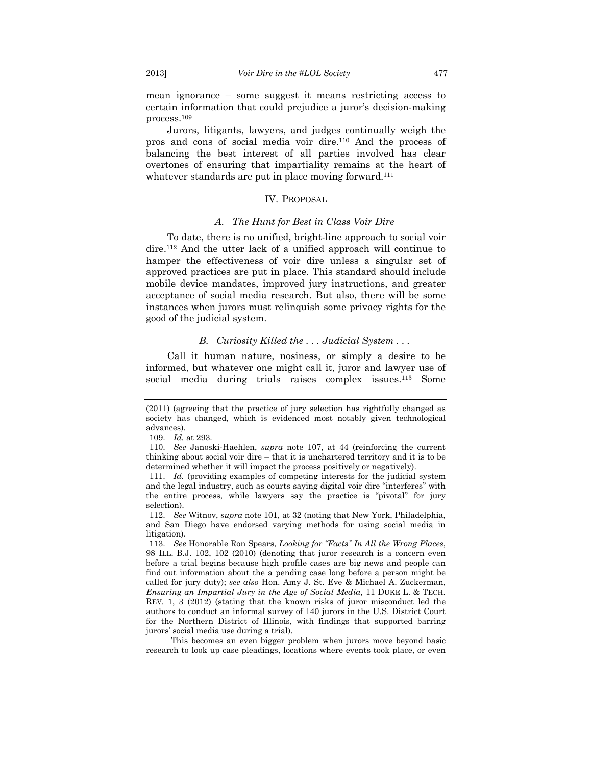mean ignorance – some suggest it means restricting access to certain information that could prejudice a juror's decision-making process.109

Jurors, litigants, lawyers, and judges continually weigh the pros and cons of social media voir dire.110 And the process of balancing the best interest of all parties involved has clear overtones of ensuring that impartiality remains at the heart of whatever standards are put in place moving forward.<sup>111</sup>

# IV. PROPOSAL

#### *A. The Hunt for Best in Class Voir Dire*

To date, there is no unified, bright-line approach to social voir dire.112 And the utter lack of a unified approach will continue to hamper the effectiveness of voir dire unless a singular set of approved practices are put in place. This standard should include mobile device mandates, improved jury instructions, and greater acceptance of social media research. But also, there will be some instances when jurors must relinquish some privacy rights for the good of the judicial system.

# *B. Curiosity Killed the . . . Judicial System . . .*

Call it human nature, nosiness, or simply a desire to be informed, but whatever one might call it, juror and lawyer use of social media during trials raises complex issues.113 Some

109. *Id.* at 293.

 This becomes an even bigger problem when jurors move beyond basic research to look up case pleadings, locations where events took place, or even

<sup>(2011) (</sup>agreeing that the practice of jury selection has rightfully changed as society has changed, which is evidenced most notably given technological advances).

 <sup>110.</sup> *See* Janoski-Haehlen, *supra* note 107, at 44 (reinforcing the current thinking about social voir dire – that it is unchartered territory and it is to be determined whether it will impact the process positively or negatively).

 <sup>111.</sup> *Id.* (providing examples of competing interests for the judicial system and the legal industry, such as courts saying digital voir dire "interferes" with the entire process, while lawyers say the practice is "pivotal" for jury selection).

 <sup>112.</sup> *See* Witnov, *supra* note 101, at 32 (noting that New York, Philadelphia, and San Diego have endorsed varying methods for using social media in litigation).

 <sup>113.</sup> *See* Honorable Ron Spears, *Looking for "Facts" In All the Wrong Places*, 98 ILL. B.J. 102, 102 (2010) (denoting that juror research is a concern even before a trial begins because high profile cases are big news and people can find out information about the a pending case long before a person might be called for jury duty); *see also* Hon. Amy J. St. Eve & Michael A. Zuckerman, *Ensuring an Impartial Jury in the Age of Social Media*, 11 DUKE L. & TECH. REV. 1, 3 (2012) (stating that the known risks of juror misconduct led the authors to conduct an informal survey of 140 jurors in the U.S. District Court for the Northern District of Illinois, with findings that supported barring jurors' social media use during a trial).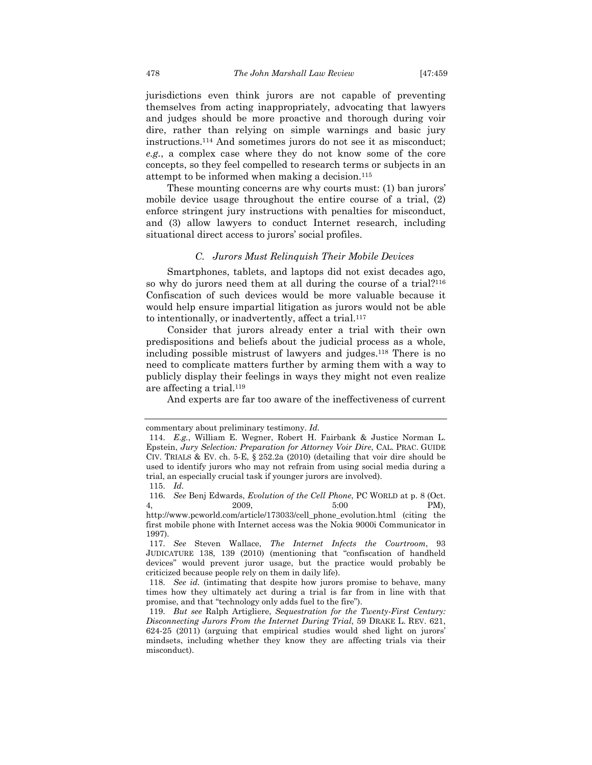jurisdictions even think jurors are not capable of preventing themselves from acting inappropriately, advocating that lawyers and judges should be more proactive and thorough during voir dire, rather than relying on simple warnings and basic jury instructions.114 And sometimes jurors do not see it as misconduct; *e.g.*, a complex case where they do not know some of the core concepts, so they feel compelled to research terms or subjects in an attempt to be informed when making a decision.115

These mounting concerns are why courts must: (1) ban jurors' mobile device usage throughout the entire course of a trial, (2) enforce stringent jury instructions with penalties for misconduct, and (3) allow lawyers to conduct Internet research, including situational direct access to jurors' social profiles.

#### *C. Jurors Must Relinquish Their Mobile Devices*

Smartphones, tablets, and laptops did not exist decades ago, so why do jurors need them at all during the course of a trial?116 Confiscation of such devices would be more valuable because it would help ensure impartial litigation as jurors would not be able to intentionally, or inadvertently, affect a trial.117

Consider that jurors already enter a trial with their own predispositions and beliefs about the judicial process as a whole, including possible mistrust of lawyers and judges.118 There is no need to complicate matters further by arming them with a way to publicly display their feelings in ways they might not even realize are affecting a trial.119

And experts are far too aware of the ineffectiveness of current

commentary about preliminary testimony. *Id.*

 <sup>114.</sup> *E.g.*, William E. Wegner, Robert H. Fairbank & Justice Norman L. Epstein, *Jury Selection: Preparation for Attorney Voir Dire*, CAL. PRAC. GUIDE CIV. TRIALS & EV. ch. 5-E, § 252.2a (2010) (detailing that voir dire should be used to identify jurors who may not refrain from using social media during a trial, an especially crucial task if younger jurors are involved).

 <sup>115.</sup> *Id.* 

 <sup>116.</sup> *See* Benj Edwards, *Evolution of the Cell Phone*, PC WORLD at p. 8 (Oct. 4, 2009, 5:00 PM),

http://www.pcworld.com/article/173033/cell\_phone\_evolution.html (citing the first mobile phone with Internet access was the Nokia 9000i Communicator in 1997).

 <sup>117.</sup> *See* Steven Wallace, *The Internet Infects the Courtroom*, 93 JUDICATURE 138, 139 (2010) (mentioning that "confiscation of handheld devices" would prevent juror usage, but the practice would probably be criticized because people rely on them in daily life).

 <sup>118.</sup> *See id.* (intimating that despite how jurors promise to behave, many times how they ultimately act during a trial is far from in line with that promise, and that "technology only adds fuel to the fire").

 <sup>119.</sup> *But see* Ralph Artigliere, *Sequestration for the Twenty-First Century: Disconnecting Jurors From the Internet During Trial*, 59 DRAKE L. REV. 621, 624-25 (2011) (arguing that empirical studies would shed light on jurors' mindsets, including whether they know they are affecting trials via their misconduct).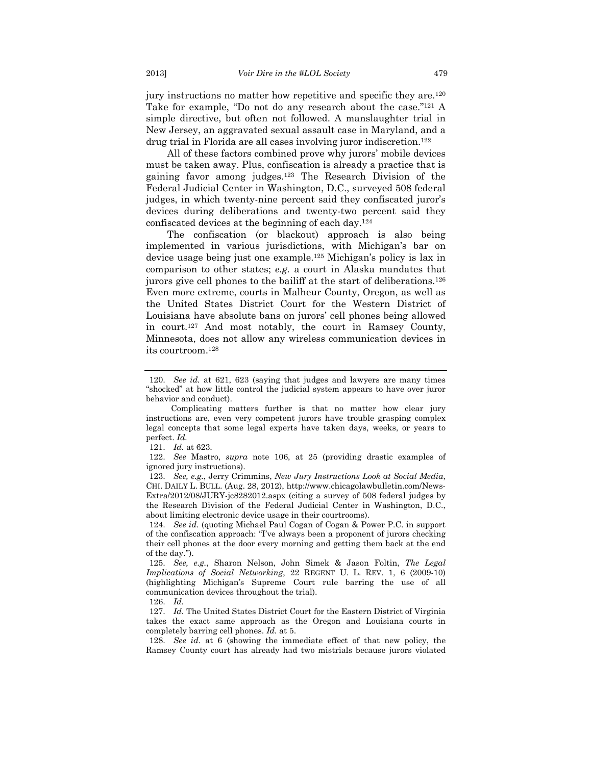jury instructions no matter how repetitive and specific they are.<sup>120</sup> Take for example, "Do not do any research about the case."121 A simple directive, but often not followed. A manslaughter trial in New Jersey, an aggravated sexual assault case in Maryland, and a drug trial in Florida are all cases involving juror indiscretion.122

All of these factors combined prove why jurors' mobile devices must be taken away. Plus, confiscation is already a practice that is gaining favor among judges.123 The Research Division of the Federal Judicial Center in Washington, D.C., surveyed 508 federal judges, in which twenty-nine percent said they confiscated juror's devices during deliberations and twenty-two percent said they confiscated devices at the beginning of each day.124

The confiscation (or blackout) approach is also being implemented in various jurisdictions, with Michigan's bar on device usage being just one example.125 Michigan's policy is lax in comparison to other states; *e.g.* a court in Alaska mandates that jurors give cell phones to the bailiff at the start of deliberations.126 Even more extreme, courts in Malheur County, Oregon, as well as the United States District Court for the Western District of Louisiana have absolute bans on jurors' cell phones being allowed in court.127 And most notably, the court in Ramsey County, Minnesota, does not allow any wireless communication devices in its courtroom.128

 122. *See* Mastro, *supra* note 106, at 25 (providing drastic examples of ignored jury instructions).

 123. *See, e.g.*, Jerry Crimmins, *New Jury Instructions Look at Social Media*, CHI. DAILY L. BULL. (Aug. 28, 2012), http://www.chicagolawbulletin.com/News-Extra/2012/08/JURY-jc8282012.aspx (citing a survey of 508 federal judges by the Research Division of the Federal Judicial Center in Washington, D.C., about limiting electronic device usage in their courtrooms).

 124. *See id.* (quoting Michael Paul Cogan of Cogan & Power P.C. in support of the confiscation approach: "I've always been a proponent of jurors checking their cell phones at the door every morning and getting them back at the end of the day.").

 125. *See, e.g.*, Sharon Nelson, John Simek & Jason Foltin, *The Legal Implications of Social Networking*, 22 REGENT U. L. REV. 1, 6 (2009-10) (highlighting Michigan's Supreme Court rule barring the use of all communication devices throughout the trial).

126. *Id.* 

 127. *Id.* The United States District Court for the Eastern District of Virginia takes the exact same approach as the Oregon and Louisiana courts in completely barring cell phones. *Id.* at 5.

 128. *See id.* at 6 (showing the immediate effect of that new policy, the Ramsey County court has already had two mistrials because jurors violated

 <sup>120.</sup> *See id.* at 621, 623 (saying that judges and lawyers are many times "shocked" at how little control the judicial system appears to have over juror behavior and conduct).

Complicating matters further is that no matter how clear jury instructions are, even very competent jurors have trouble grasping complex legal concepts that some legal experts have taken days, weeks, or years to perfect. *Id.* 

 <sup>121.</sup> *Id.* at 623.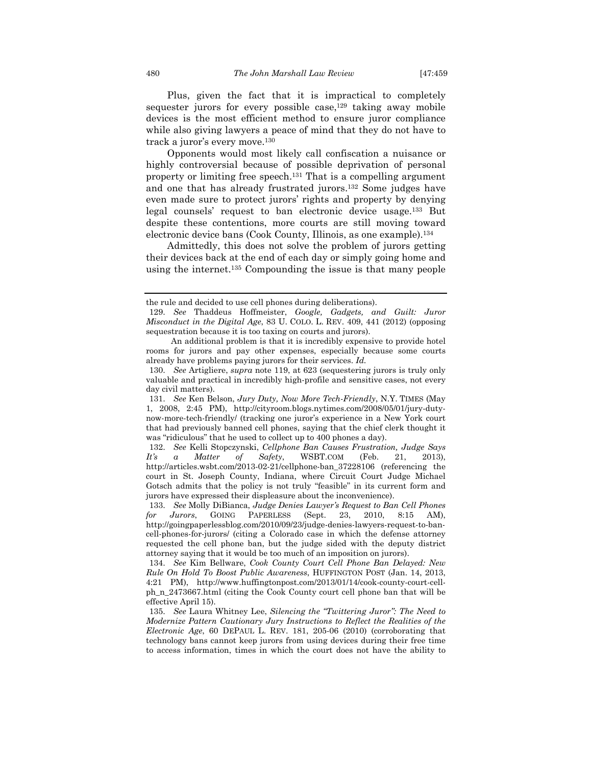Plus, given the fact that it is impractical to completely sequester jurors for every possible case,<sup>129</sup> taking away mobile devices is the most efficient method to ensure juror compliance while also giving lawyers a peace of mind that they do not have to track a juror's every move.130

Opponents would most likely call confiscation a nuisance or highly controversial because of possible deprivation of personal property or limiting free speech.131 That is a compelling argument and one that has already frustrated jurors.132 Some judges have even made sure to protect jurors' rights and property by denying legal counsels' request to ban electronic device usage.133 But despite these contentions, more courts are still moving toward electronic device bans (Cook County, Illinois, as one example).134

Admittedly, this does not solve the problem of jurors getting their devices back at the end of each day or simply going home and using the internet.135 Compounding the issue is that many people

the rule and decided to use cell phones during deliberations).

 <sup>129.</sup> *See* Thaddeus Hoffmeister, *Google, Gadgets, and Guilt: Juror Misconduct in the Digital Age*, 83 U. COLO. L. REV. 409, 441 (2012) (opposing sequestration because it is too taxing on courts and jurors).

An additional problem is that it is incredibly expensive to provide hotel rooms for jurors and pay other expenses, especially because some courts already have problems paying jurors for their services. *Id.*

 <sup>130.</sup> *See* Artigliere, *supra* note 119, at 623 (sequestering jurors is truly only valuable and practical in incredibly high-profile and sensitive cases, not every day civil matters).

 <sup>131.</sup> *See* Ken Belson, *Jury Duty, Now More Tech-Friendly*, N.Y. TIMES (May 1, 2008, 2:45 PM), http://cityroom.blogs.nytimes.com/2008/05/01/jury-dutynow-more-tech-friendly/ (tracking one juror's experience in a New York court that had previously banned cell phones, saying that the chief clerk thought it was "ridiculous" that he used to collect up to 400 phones a day).

 <sup>132.</sup> *See* Kelli Stopczynski, *Cellphone Ban Causes Frustration, Judge Says It's a Matter of Safety*, WSBT.COM (Feb. 21, 2013), http://articles.wsbt.com/2013-02-21/cellphone-ban\_37228106 (referencing the court in St. Joseph County, Indiana, where Circuit Court Judge Michael Gotsch admits that the policy is not truly "feasible" in its current form and jurors have expressed their displeasure about the inconvenience).

 <sup>133.</sup> *See* Molly DiBianca, *Judge Denies Lawyer's Request to Ban Cell Phones for Jurors*, GOING PAPERLESS (Sept. 23, 2010, 8:15 AM), http://goingpaperlessblog.com/2010/09/23/judge-denies-lawyers-request-to-bancell-phones-for-jurors/ (citing a Colorado case in which the defense attorney requested the cell phone ban, but the judge sided with the deputy district attorney saying that it would be too much of an imposition on jurors).

 <sup>134.</sup> *See* Kim Bellware, *Cook County Court Cell Phone Ban Delayed: New Rule On Hold To Boost Public Awareness*, HUFFINGTON POST (Jan. 14, 2013, 4:21 PM), http://www.huffingtonpost.com/2013/01/14/cook-county-court-cellph\_n\_2473667.html (citing the Cook County court cell phone ban that will be effective April 15).

 <sup>135.</sup> *See* Laura Whitney Lee, *Silencing the "Twittering Juror": The Need to Modernize Pattern Cautionary Jury Instructions to Reflect the Realities of the Electronic Age*, 60 DEPAUL L. REV. 181, 205-06 (2010) (corroborating that technology bans cannot keep jurors from using devices during their free time to access information, times in which the court does not have the ability to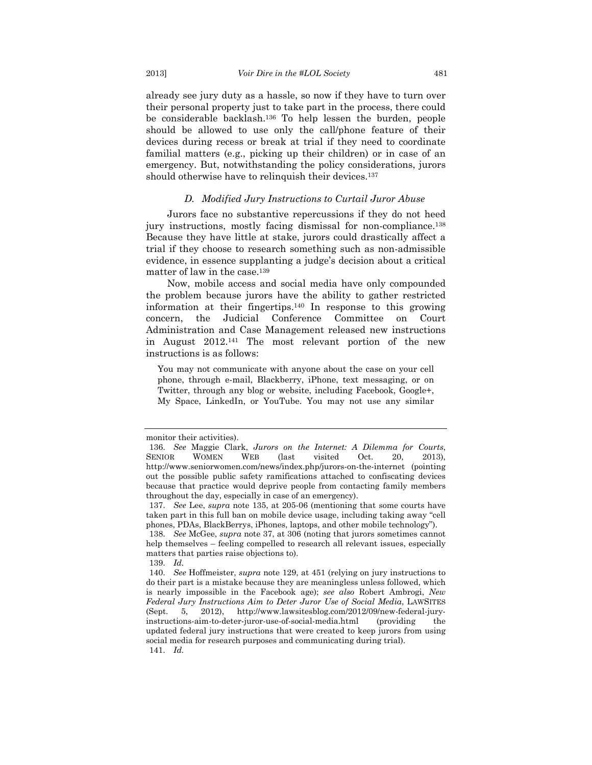already see jury duty as a hassle, so now if they have to turn over their personal property just to take part in the process, there could be considerable backlash.136 To help lessen the burden, people should be allowed to use only the call/phone feature of their devices during recess or break at trial if they need to coordinate familial matters (e.g., picking up their children) or in case of an emergency. But, notwithstanding the policy considerations, jurors should otherwise have to relinquish their devices.<sup>137</sup>

#### *D. Modified Jury Instructions to Curtail Juror Abuse*

Jurors face no substantive repercussions if they do not heed jury instructions, mostly facing dismissal for non-compliance.138 Because they have little at stake, jurors could drastically affect a trial if they choose to research something such as non-admissible evidence, in essence supplanting a judge's decision about a critical matter of law in the case.139

Now, mobile access and social media have only compounded the problem because jurors have the ability to gather restricted information at their fingertips.140 In response to this growing concern, the Judicial Conference Committee on Court Administration and Case Management released new instructions in August 2012.141 The most relevant portion of the new instructions is as follows:

You may not communicate with anyone about the case on your cell phone, through e-mail, Blackberry, iPhone, text messaging, or on Twitter, through any blog or website, including Facebook, Google+, My Space, LinkedIn, or YouTube. You may not use any similar

139. *Id.*

monitor their activities).

 <sup>136.</sup> *See* Maggie Clark, *Jurors on the Internet: A Dilemma for Courts*, SENIOR WOMEN WEB (last visited Oct. 20, 2013), http://www.seniorwomen.com/news/index.php/jurors-on-the-internet (pointing out the possible public safety ramifications attached to confiscating devices because that practice would deprive people from contacting family members throughout the day, especially in case of an emergency).

 <sup>137.</sup> *See* Lee, *supra* note 135, at 205-06 (mentioning that some courts have taken part in this full ban on mobile device usage, including taking away "cell phones, PDAs, BlackBerrys, iPhones, laptops, and other mobile technology").

 <sup>138.</sup> *See* McGee, *supra* note 37, at 306 (noting that jurors sometimes cannot help themselves – feeling compelled to research all relevant issues, especially matters that parties raise objections to).

 <sup>140.</sup> *See* Hoffmeister, *supra* note 129, at 451 (relying on jury instructions to do their part is a mistake because they are meaningless unless followed, which is nearly impossible in the Facebook age); *see also* Robert Ambrogi, *New Federal Jury Instructions Aim to Deter Juror Use of Social Media*, LAWSITES (Sept. 5, 2012), http://www.lawsitesblog.com/2012/09/new-federal-juryinstructions-aim-to-deter-juror-use-of-social-media.html (providing the updated federal jury instructions that were created to keep jurors from using social media for research purposes and communicating during trial). 141. *Id.*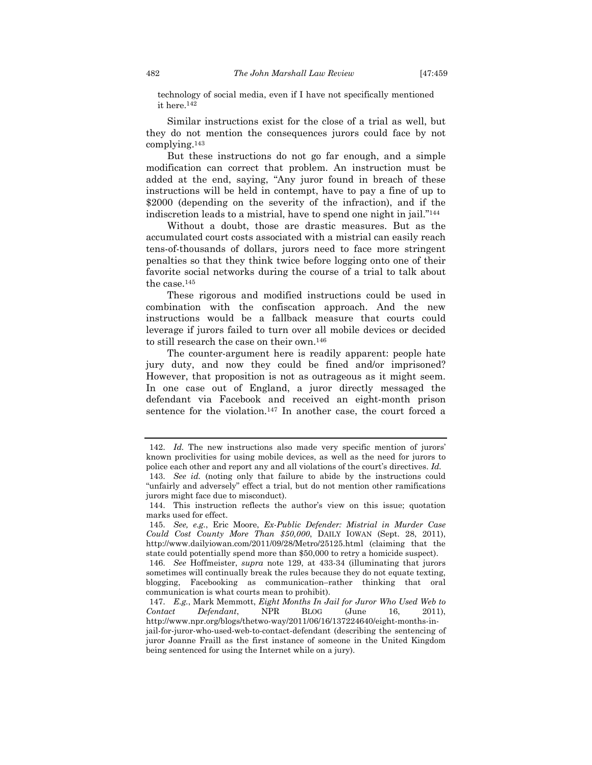technology of social media, even if I have not specifically mentioned it here.142

Similar instructions exist for the close of a trial as well, but they do not mention the consequences jurors could face by not complying.143

But these instructions do not go far enough, and a simple modification can correct that problem. An instruction must be added at the end, saying, "Any juror found in breach of these instructions will be held in contempt, have to pay a fine of up to \$2000 (depending on the severity of the infraction), and if the indiscretion leads to a mistrial, have to spend one night in jail."144

Without a doubt, those are drastic measures. But as the accumulated court costs associated with a mistrial can easily reach tens-of-thousands of dollars, jurors need to face more stringent penalties so that they think twice before logging onto one of their favorite social networks during the course of a trial to talk about the case.145

These rigorous and modified instructions could be used in combination with the confiscation approach. And the new instructions would be a fallback measure that courts could leverage if jurors failed to turn over all mobile devices or decided to still research the case on their own.146

The counter-argument here is readily apparent: people hate jury duty, and now they could be fined and/or imprisoned? However, that proposition is not as outrageous as it might seem. In one case out of England, a juror directly messaged the defendant via Facebook and received an eight-month prison sentence for the violation.<sup>147</sup> In another case, the court forced a

 <sup>142.</sup> *Id.* The new instructions also made very specific mention of jurors' known proclivities for using mobile devices, as well as the need for jurors to police each other and report any and all violations of the court's directives. *Id.* 

 <sup>143.</sup> *See id.* (noting only that failure to abide by the instructions could "unfairly and adversely" effect a trial, but do not mention other ramifications jurors might face due to misconduct).

 <sup>144.</sup> This instruction reflects the author's view on this issue; quotation marks used for effect.

 <sup>145.</sup> *See, e.g.*, Eric Moore, *Ex-Public Defender: Mistrial in Murder Case Could Cost County More Than \$50,000*, DAILY IOWAN (Sept. 28, 2011), http://www.dailyiowan.com/2011/09/28/Metro/25125.html (claiming that the state could potentially spend more than \$50,000 to retry a homicide suspect).

 <sup>146.</sup> *See* Hoffmeister, *supra* note 129, at 433-34 (illuminating that jurors sometimes will continually break the rules because they do not equate texting, blogging, Facebooking as communication–rather thinking that oral communication is what courts mean to prohibit).

 <sup>147.</sup> *E.g.*, Mark Memmott, *Eight Months In Jail for Juror Who Used Web to Contact Defendant*, NPR BLOG (June 16, 2011), http://www.npr.org/blogs/thetwo-way/2011/06/16/137224640/eight-months-injail-for-juror-who-used-web-to-contact-defendant (describing the sentencing of juror Joanne Fraill as the first instance of someone in the United Kingdom being sentenced for using the Internet while on a jury).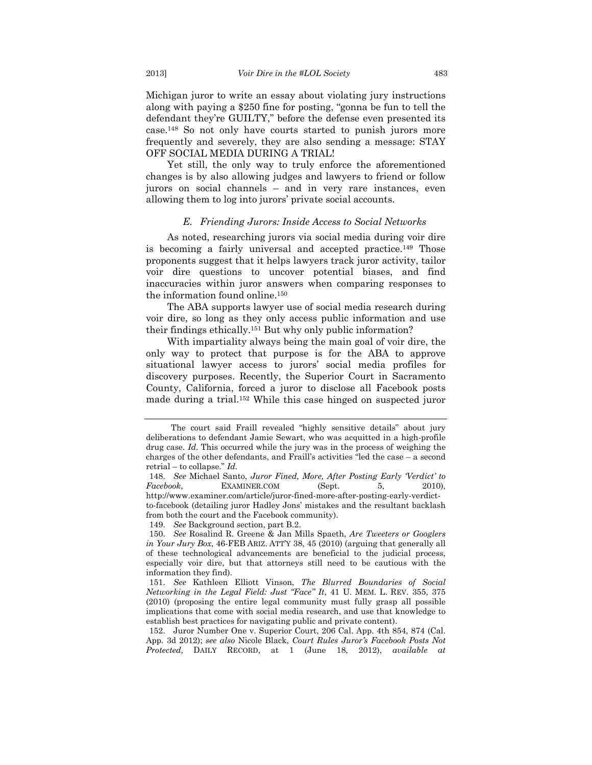Michigan juror to write an essay about violating jury instructions along with paying a \$250 fine for posting, "gonna be fun to tell the defendant they're GUILTY," before the defense even presented its case.148 So not only have courts started to punish jurors more frequently and severely, they are also sending a message: STAY OFF SOCIAL MEDIA DURING A TRIAL!

Yet still, the only way to truly enforce the aforementioned changes is by also allowing judges and lawyers to friend or follow jurors on social channels – and in very rare instances, even allowing them to log into jurors' private social accounts.

#### *E. Friending Jurors: Inside Access to Social Networks*

As noted, researching jurors via social media during voir dire is becoming a fairly universal and accepted practice.149 Those proponents suggest that it helps lawyers track juror activity, tailor voir dire questions to uncover potential biases, and find inaccuracies within juror answers when comparing responses to the information found online.150

The ABA supports lawyer use of social media research during voir dire, so long as they only access public information and use their findings ethically.151 But why only public information?

With impartiality always being the main goal of voir dire, the only way to protect that purpose is for the ABA to approve situational lawyer access to jurors' social media profiles for discovery purposes. Recently, the Superior Court in Sacramento County, California, forced a juror to disclose all Facebook posts made during a trial.152 While this case hinged on suspected juror

149. *See* Background section, part B.2.

The court said Fraill revealed "highly sensitive details" about jury deliberations to defendant Jamie Sewart, who was acquitted in a high-profile drug case. *Id.* This occurred while the jury was in the process of weighing the charges of the other defendants, and Fraill's activities "led the case – a second retrial – to collapse." *Id.* 

 <sup>148.</sup> *See* Michael Santo, *Juror Fined, More, After Posting Early 'Verdict' to Facebook*, EXAMINER.COM (Sept. 5, 2010), http://www.examiner.com/article/juror-fined-more-after-posting-early-verdictto-facebook (detailing juror Hadley Jons' mistakes and the resultant backlash from both the court and the Facebook community).

 <sup>150.</sup> *See* Rosalind R. Greene & Jan Mills Spaeth, *Are Tweeters or Googlers in Your Jury Box*, 46-FEB ARIZ. ATT'Y 38, 45 (2010) (arguing that generally all of these technological advancements are beneficial to the judicial process, especially voir dire, but that attorneys still need to be cautious with the information they find).

 <sup>151.</sup> *See* Kathleen Elliott Vinson, *The Blurred Boundaries of Social Networking in the Legal Field: Just "Face" It*, 41 U. MEM. L. REV. 355, 375 (2010) (proposing the entire legal community must fully grasp all possible implications that come with social media research, and use that knowledge to establish best practices for navigating public and private content).

 <sup>152.</sup> Juror Number One v. Superior Court, 206 Cal. App. 4th 854, 874 (Cal. App. 3d 2012); *see also* Nicole Black, *Court Rules Juror's Facebook Posts Not Protected*, DAILY RECORD, at 1 (June 18, 2012), *available at*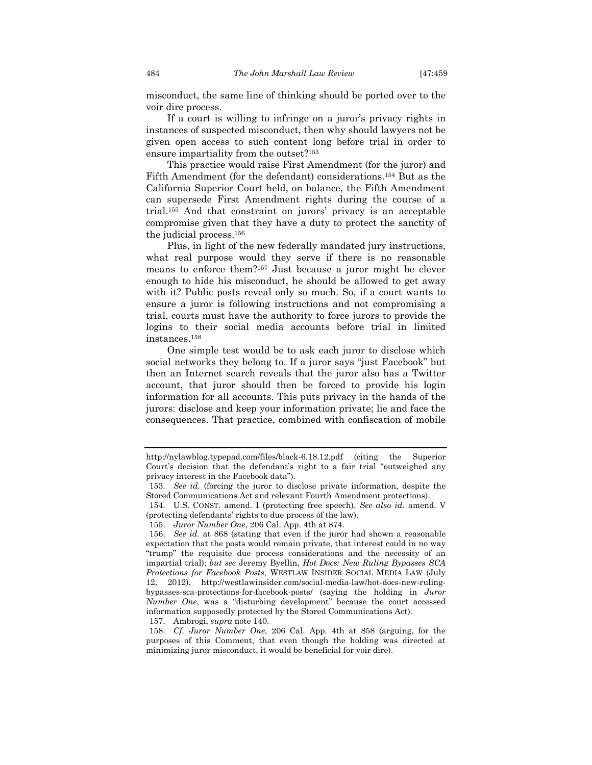misconduct, the same line of thinking should be ported over to the voir dire process.

If a court is willing to infringe on a juror's privacy rights in instances of suspected misconduct, then why should lawyers not be given open access to such content long before trial in order to ensure impartiality from the outset?153

This practice would raise First Amendment (for the juror) and Fifth Amendment (for the defendant) considerations.154 But as the California Superior Court held, on balance, the Fifth Amendment can supersede First Amendment rights during the course of a trial.155 And that constraint on jurors' privacy is an acceptable compromise given that they have a duty to protect the sanctity of the judicial process.156

Plus, in light of the new federally mandated jury instructions, what real purpose would they serve if there is no reasonable means to enforce them?157 Just because a juror might be clever enough to hide his misconduct, he should be allowed to get away with it? Public posts reveal only so much. So, if a court wants to ensure a juror is following instructions and not compromising a trial, courts must have the authority to force jurors to provide the logins to their social media accounts before trial in limited instances.158

One simple test would be to ask each juror to disclose which social networks they belong to. If a juror says "just Facebook" but then an Internet search reveals that the juror also has a Twitter account, that juror should then be forced to provide his login information for all accounts. This puts privacy in the hands of the jurors: disclose and keep your information private; lie and face the consequences. That practice, combined with confiscation of mobile

157. Ambrogi, *supra* note 140.

http://nylawblog.typepad.com/files/black-6.18.12.pdf (citing the Superior Court's decision that the defendant's right to a fair trial "outweighed any privacy interest in the Facebook data").

 <sup>153.</sup> *See id.* (forcing the juror to disclose private information, despite the Stored Communications Act and relevant Fourth Amendment protections).

 <sup>154.</sup> U.S. CONST. amend. I (protecting free speech). *See also id.* amend. V (protecting defendants' rights to due process of the law).

 <sup>155.</sup> *Juror Number One*, 206 Cal. App. 4th at 874.

 <sup>156.</sup> *See id.* at 868 (stating that even if the juror had shown a reasonable expectation that the posts would remain private, that interest could in no way "trump" the requisite due process considerations and the necessity of an impartial trial); *but see* Jeremy Byellin, *Hot Docs: New Ruling Bypasses SCA Protections for Facebook Posts*, WESTLAW INSIDER SOCIAL MEDIA LAW (July 12, 2012), http://westlawinsider.com/social-media-law/hot-docs-new-rulingbypasses-sca-protections-for-facebook-posts/ (saying the holding in *Juror Number One*, was a "disturbing development" because the court accessed information supposedly protected by the Stored Communications Act).

 <sup>158.</sup> *Cf. Juror Number One*, 206 Cal. App. 4th at 858 (arguing, for the purposes of this Comment, that even though the holding was directed at minimizing juror misconduct, it would be beneficial for voir dire).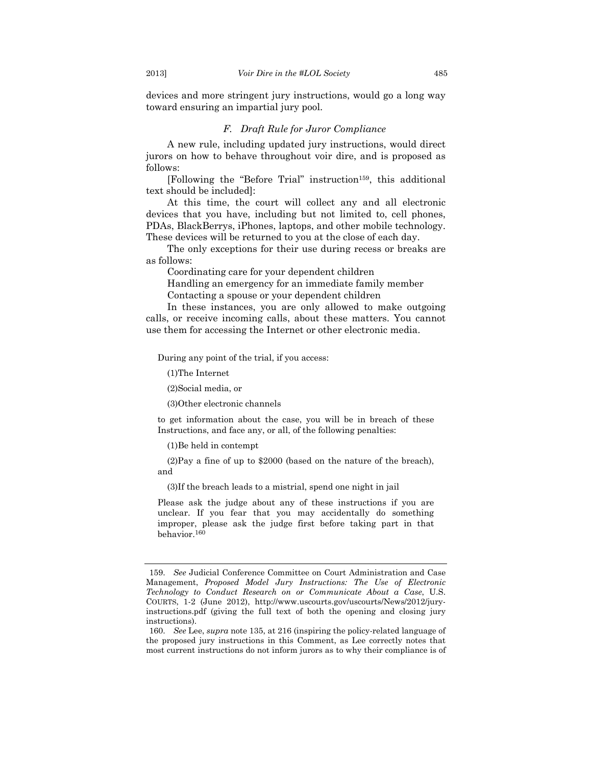devices and more stringent jury instructions, would go a long way toward ensuring an impartial jury pool.

# *F. Draft Rule for Juror Compliance*

A new rule, including updated jury instructions, would direct jurors on how to behave throughout voir dire, and is proposed as follows:

[Following the "Before Trial" instruction159, this additional text should be included]:

At this time, the court will collect any and all electronic devices that you have, including but not limited to, cell phones, PDAs, BlackBerrys, iPhones, laptops, and other mobile technology. These devices will be returned to you at the close of each day.

The only exceptions for their use during recess or breaks are as follows:

Coordinating care for your dependent children

Handling an emergency for an immediate family member Contacting a spouse or your dependent children

In these instances, you are only allowed to make outgoing calls, or receive incoming calls, about these matters. You cannot use them for accessing the Internet or other electronic media.

During any point of the trial, if you access:

(1)The Internet

(2)Social media, or

(3)Other electronic channels

to get information about the case, you will be in breach of these Instructions, and face any, or all, of the following penalties:

(1)Be held in contempt

 (2)Pay a fine of up to \$2000 (based on the nature of the breach), and

(3)If the breach leads to a mistrial, spend one night in jail

Please ask the judge about any of these instructions if you are unclear. If you fear that you may accidentally do something improper, please ask the judge first before taking part in that behavior.160

 <sup>159.</sup> *See* Judicial Conference Committee on Court Administration and Case Management, *Proposed Model Jury Instructions: The Use of Electronic Technology to Conduct Research on or Communicate About a Case*, U.S. COURTS, 1-2 (June 2012), http://www.uscourts.gov/uscourts/News/2012/juryinstructions.pdf (giving the full text of both the opening and closing jury instructions).

 <sup>160.</sup> *See* Lee, *supra* note 135, at 216 (inspiring the policy-related language of the proposed jury instructions in this Comment, as Lee correctly notes that most current instructions do not inform jurors as to why their compliance is of